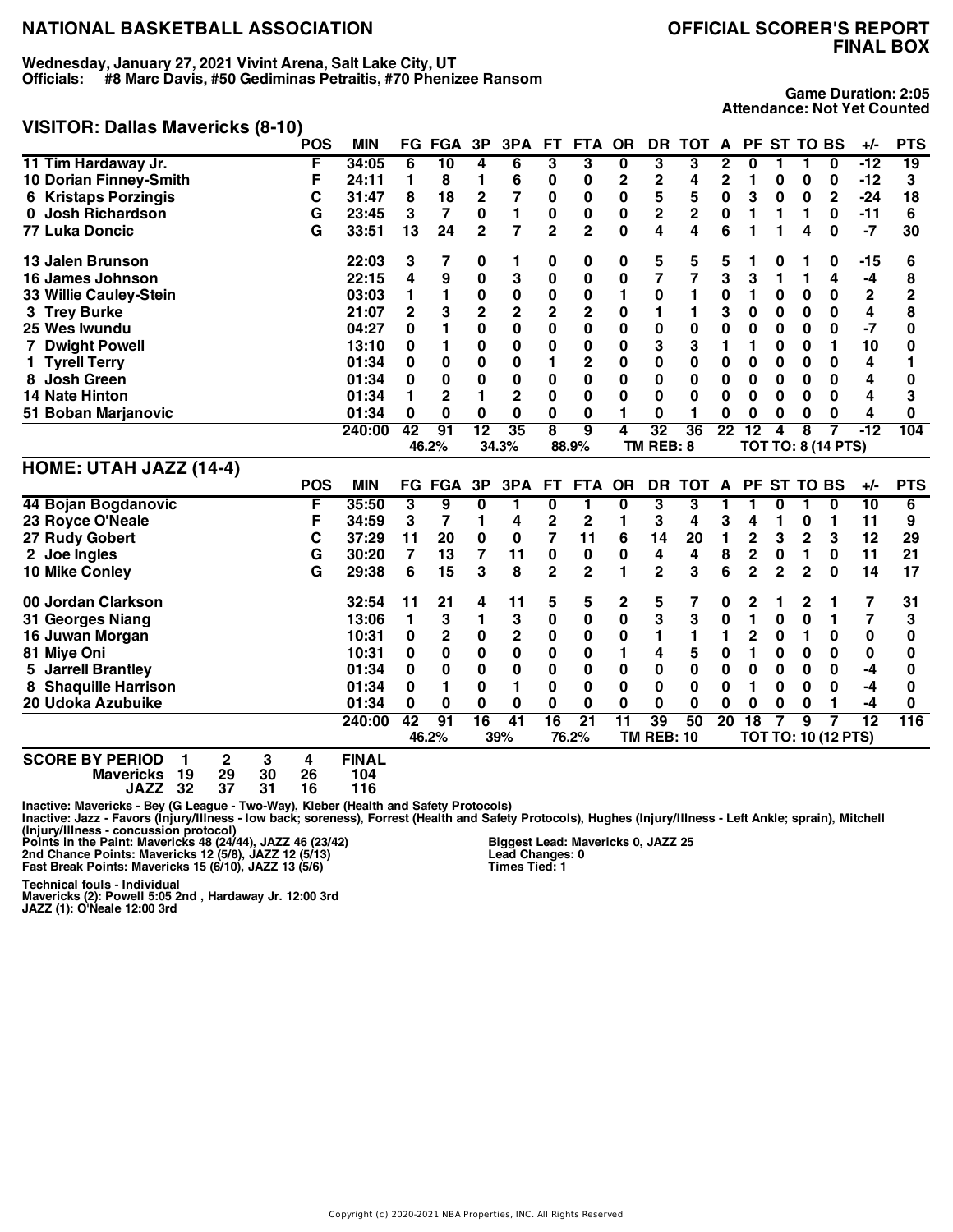**Wednesday, January 27, 2021 Vivint Arena, Salt Lake City, UT Officials: #8 Marc Davis, #50 Gediminas Petraitis, #70 Phenizee Ransom**

# **FINAL BOX**

**Game Duration: 2:05 Attendance: Not Yet Counted**

#### **VISITOR: Dallas Mavericks (8-10)**

|                             | <b>POS</b> | <b>MIN</b> |    | FG FGA         | 3P           | 3PA                     | <b>FT</b>      | <b>FTA</b>     | <b>OR</b>    | DR              | <b>TOT</b>      | A  |                | PF ST TO BS  |                          |                           | +/-   | <b>PTS</b> |
|-----------------------------|------------|------------|----|----------------|--------------|-------------------------|----------------|----------------|--------------|-----------------|-----------------|----|----------------|--------------|--------------------------|---------------------------|-------|------------|
| 11 Tim Hardaway Jr.         | F          | 34:05      | 6  | 10             | 4            | 6                       | 3              | 3              | 0            | 3               | 3               | 2  | 0              |              |                          | 0                         | $-12$ | 19         |
| 10 Dorian Finney-Smith      | F          | 24:11      |    | 8              |              | 6                       | 0              | 0              | $\mathbf{2}$ | 2               |                 | 2  |                | 0            | 0                        | 0                         | $-12$ | 3          |
| <b>6 Kristaps Porzingis</b> | С          | 31:47      | 8  | 18             | 2            |                         | 0              | 0              | 0            | 5               | 5               | 0  | 3              | 0            | 0                        | $\mathbf{2}$              | $-24$ | 18         |
| <b>Josh Richardson</b>      | G          | 23:45      | 3  | 7              | $\bf{0}$     |                         | 0              | 0              | 0            | 2               | $\mathbf{2}$    | 0  |                |              |                          | 0                         | $-11$ | 6          |
| 77 Luka Doncic              | G          | 33:51      | 13 | 24             | $\mathbf{2}$ | 7                       | $\overline{2}$ | $\overline{2}$ | 0            | 4               | 4               | 6  |                |              | 4                        | 0                         | $-7$  | 30         |
| 13 Jalen Brunson            |            | 22:03      | 3  | 7              | 0            |                         | 0              | 0              | 0            | 5               | 5               | 5  |                | 0            |                          | 0                         | -15   | 6          |
| 16 James Johnson            |            | 22:15      | 4  | 9              | 0            | 3                       | 0              | 0              | 0            | 7               |                 | 3  | 3              |              |                          | 4                         | -4    | 8          |
| 33 Willie Cauley-Stein      |            | 03:03      |    |                | 0            | 0                       | 0              | 0              |              | 0               |                 | 0  |                | 0            | 0                        | 0                         | 2     | 2          |
| 3 Trey Burke                |            | 21:07      | 2  | 3              | 2            | $\overline{\mathbf{c}}$ | $\overline{2}$ | 2              | 0            |                 |                 | 3  | 0              | 0            | 0                        | 0                         | 4     | 8          |
| 25 Wes Iwundu               |            | 04:27      | 0  |                | 0            | $\bf{0}$                | 0              | 0              | 0            | 0               | 0               | 0  | 0              | 0            | 0                        | $\bf{0}$                  | -7    | 0          |
| 7 Dwight Powell             |            | 13:10      | 0  |                | 0            | 0                       | 0              | 0              | 0            | 3               | 3               |    |                | 0            | 0                        |                           | 10    |            |
| 1 Tyrell Terry              |            | 01:34      | 0  | 0              | 0            | 0                       |                | 2              | 0            | 0               | 0               | 0  | 0              | 0            | 0                        | 0                         | 4     |            |
| <b>Josh Green</b>           |            | 01:34      | 0  | 0              | $\bf{0}$     | 0                       | 0              | 0              | 0            | 0               | 0               | 0  | 0              | 0            | 0                        | 0                         | 4     | 0          |
| <b>14 Nate Hinton</b>       |            | 01:34      |    | $\overline{2}$ |              | $\mathbf 2$             | 0              | 0              | 0            | 0               | $\bf{0}$        | 0  | 0              | 0            | 0                        | 0                         | 4     | 3          |
| 51 Boban Marjanovic         |            | 01:34      | 0  | 0              | 0            | 0                       | 0              | 0              |              | 0               |                 | U  | O              | 0            | 0                        | 0                         | 4     | O          |
|                             |            | 240:00     | 42 | 91             | 12           | 35                      | 8              | 9              | 4            | $\overline{32}$ | $\overline{36}$ | 22 | 2              | 4            | 8                        |                           | $-12$ | 104        |
|                             |            |            |    | 46.2%          |              | 34.3%                   |                | 88.9%          |              | TM REB: 8       |                 |    |                |              |                          | <b>TOT TO: 8 (14 PTS)</b> |       |            |
| HOME: UTAH JAZZ (14-4)      |            |            |    |                |              |                         |                |                |              |                 |                 |    |                |              |                          |                           |       |            |
|                             | <b>POS</b> | <b>MIN</b> |    | <b>FG FGA</b>  | 3P           | 3PA                     | FT.            | <b>FTA</b>     | <b>OR</b>    | DR              | <b>TOT</b>      | A  | <b>PF</b>      |              | <b>ST TO BS</b>          |                           | $+/-$ | <b>PTS</b> |
| 44 Bojan Bogdanovic         | F          | 35:50      | 3  | 9              | 0            |                         | 0              | 1              | 0            | 3               | 3               |    |                | 0            |                          | 0                         | 10    | 6          |
| 23 Royce O'Neale            | F          | 34:59      | 3  | 7              |              | 4                       | 2              | 2              |              | 3               | 4               | 3  | 4              |              | 0                        |                           | 11    | 9          |
| 27 Rudy Gobert              |            | 37:29      | 11 | 20             | 0            | 0                       | 7              | 11             | 6            | 14              | 20              |    | $\mathbf 2$    | 3            | 2                        | 3                         | 12    | 29         |
| 2 Joe Ingles                | G          | 30:20      | 7  | 13             | 7            | 11                      | 0              | 0              | 0            | 4               | 4               | 8  | 2              | 0            | 1                        | 0                         | 11    | 21         |
| 10 Mike Conley              | G          | 29:38      | 6  | 15             | 3            | 8                       | $\overline{2}$ | $\overline{2}$ |              | $\overline{2}$  | 3               | 6  | $\overline{2}$ | $\mathbf{2}$ | $\mathbf{2}$             | 0                         | 14    | 17         |
| 00 Jordan Clarkson          |            | 32:54      | 11 | 21             | 4            | 11                      | 5              | 5              | 2            | 5               |                 | 0  | 2              |              | 2                        |                           |       | 31         |
|                             |            |            |    |                |              |                         |                |                |              |                 |                 |    |                |              | $\overline{\phantom{0}}$ |                           |       |            |

| <b>SCORE BY PERIOD</b> |  |  | <b>FINAL</b> |    |               |    |     |    |       |                   |    |    |    |  |                            |     |
|------------------------|--|--|--------------|----|---------------|----|-----|----|-------|-------------------|----|----|----|--|----------------------------|-----|
|                        |  |  |              |    | 46.2%         |    | 39% |    | 76.2% | <b>TM REB: 10</b> |    |    |    |  | <b>TOT TO: 10 (12 PTS)</b> |     |
|                        |  |  | 240:00       | 42 | 91            | 16 | 41  | 16 | 21    | 39                | 50 | 20 | 18 |  |                            | 116 |
| 20 Udoka Azubuike      |  |  | 01:34        |    |               |    |     |    |       |                   |    |    |    |  |                            |     |
| 8 Shaquille Harrison   |  |  | 01:34        |    |               |    |     |    |       |                   |    |    |    |  |                            |     |
| 5 Jarrell Brantley     |  |  | 01:34        |    |               |    |     |    |       |                   |    |    |    |  | -4                         |     |
| 81 Miye Oni            |  |  | 10:31        |    |               |    |     |    |       |                   |    |    |    |  |                            |     |
| 16 Juwan Morgan        |  |  | 10:31        |    |               |    |     |    |       |                   |    |    |    |  |                            |     |
| 31 Georges Niang       |  |  | 13:06        |    |               |    |     |    |       | 3                 |    |    |    |  |                            |     |
| uu juluali vialnouli   |  |  | JZ.J4        |    | $\epsilon$ is | -  |     |    |       |                   |    |    |    |  |                            | υı  |

**SCORE BY PERIOD 1 2 3 4 FINAL Mavericks 19 29 30 26 104 JAZZ 32 37 31 16 116**

Inactive: Mavericks - Bey (G League - Two-Way), Kleber (Health and Safety Protocols)<br>Inactive: Jazz - Favors (Injury/Illness - Iow back; soreness), Forrest (Health and Safety Protocols), Hughes (Injury/Illness - Left Ankle

Copyright (c) 2020-2021 NBA Properties, INC. All Rights Reserved

Technical fouls - Individual<br>Mavericks (2): Powell 5:05 2nd , Hardaway Jr. 12:00 3rd<br>JAZZ (1): O'Neale 12:00 3rd

**Biggest Lead: Mavericks 0, JAZZ 25 Lead Changes: 0 Times Tied: 1**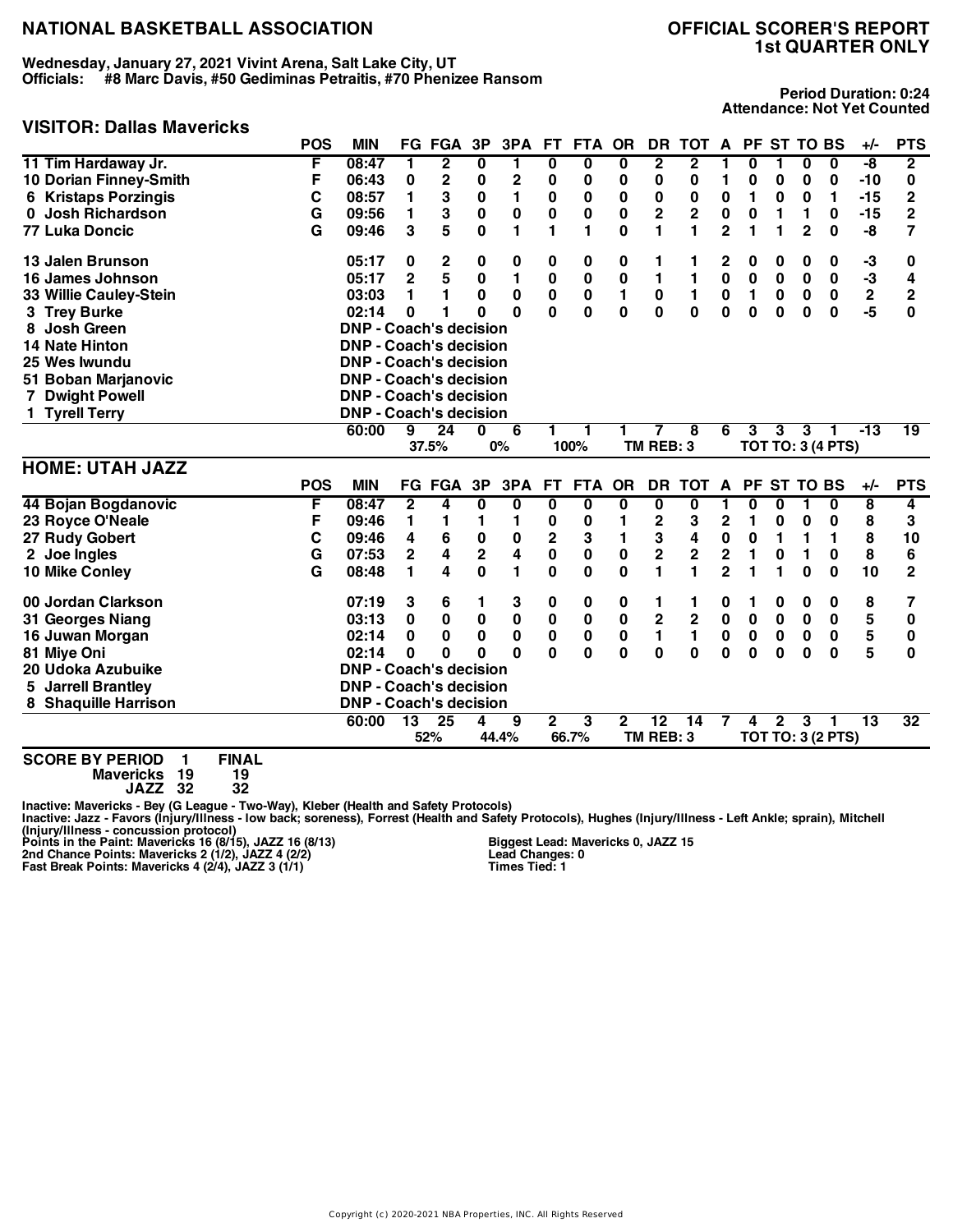**Wednesday, January 27, 2021 Vivint Arena, Salt Lake City, UT Officials: #8 Marc Davis, #50 Gediminas Petraitis, #70 Phenizee Ransom**

### **VISITOR: Dallas Mavericks**

# **1st QUARTER ONLY**

**Period Duration: 0:24 Attendance: Not Yet Counted**

| VIJII UN. DAIIAS IVIAVEIIUNS |            |                               |                |                         |                         |                         |                         |             |              |                         |                         |                         |              |              |                |                          |                 |                |
|------------------------------|------------|-------------------------------|----------------|-------------------------|-------------------------|-------------------------|-------------------------|-------------|--------------|-------------------------|-------------------------|-------------------------|--------------|--------------|----------------|--------------------------|-----------------|----------------|
|                              | <b>POS</b> | <b>MIN</b>                    |                | <b>FG FGA</b>           | 3P                      | 3PA                     | FT.                     | FTA OR      |              | DR.                     | TOT A                   |                         |              | PF ST TO BS  |                |                          | +/-             | <b>PTS</b>     |
| 11 Tim Hardaway Jr.          | F          | 08:47                         | 1              | $\overline{\mathbf{2}}$ | 0                       | 1                       | $\overline{\mathbf{0}}$ | 0           | 0            | 2                       | $\overline{\mathbf{2}}$ |                         | 0            | 1            | 0              | 0                        | $-\sqrt{8}$     | $\overline{2}$ |
| 10 Dorian Finney-Smith       | F          | 06:43                         | 0              | 2                       | 0                       | $\mathbf 2$             | 0                       | 0           | 0            | $\pmb{0}$               | $\bf{0}$                | 1                       | 0            | 0            | 0              | 0                        | $-10$           | 0              |
| 6 Kristaps Porzingis         | C          | 08:57                         | 1              | 3                       | $\bf{0}$                | $\mathbf{1}$            | $\bf{0}$                | $\bf{0}$    | $\pmb{0}$    | $\mathbf 0$             | $\bf{0}$                | $\pmb{0}$               | 1            | $\bf{0}$     | $\bf{0}$       | 1                        | $-15$           | 2              |
| <b>Josh Richardson</b><br>0  | G          | 09:56                         | 1              | 3                       | $\bf{0}$                | $\pmb{0}$               | $\bf{0}$                | $\bf{0}$    | $\mathbf 0$  | $\overline{2}$          | $\overline{2}$          | $\pmb{0}$               | $\mathbf 0$  | 1            | 1              | 0                        | $-15$           | $\overline{2}$ |
| <b>77 Luka Doncic</b>        | G          | 09:46                         | 3              | 5                       | $\mathbf 0$             | $\blacksquare$          | 1                       | 1           | $\mathbf{0}$ | 1                       | 1                       | $\overline{\mathbf{c}}$ | 1            | 1            | $\overline{2}$ | $\bf{0}$                 | -8              | 7              |
| 13 Jalen Brunson             |            | 05:17                         | 0              | 2                       | 0                       | 0                       | 0                       | 0           | 0            | 1                       | 1                       | 2                       | 0            | 0            | 0              | 0                        | -3              | 0              |
| 16 James Johnson             |            | 05:17                         | $\overline{2}$ | 5                       | $\mathbf 0$             | $\mathbf{1}$            | 0                       | $\bf{0}$    | $\mathbf 0$  | 1                       | $\mathbf{1}$            | $\mathbf 0$             | $\mathbf 0$  | $\bf{0}$     | $\bf{0}$       | $\bf{0}$                 | $-3$            | 4              |
| 33 Willie Cauley-Stein       |            | 03:03                         | 1              | 1                       | $\bf{0}$                | 0                       | $\pmb{0}$               | $\pmb{0}$   | $\mathbf{1}$ | $\mathbf 0$             | $\blacksquare$          | $\mathbf 0$             | 1            | $\bf{0}$     | $\bf{0}$       | 0                        | $\mathbf 2$     | $\overline{2}$ |
| 3 Trey Burke                 |            | 02:14                         | 0              | 1                       | O                       | $\bf{0}$                | 0                       | O           | $\mathbf{0}$ | $\mathbf{0}$            | $\mathbf 0$             | $\mathbf{0}$            | $\mathbf{0}$ | $\Omega$     | $\bf{0}$       | $\bf{0}$                 | -5              | $\bf{0}$       |
| Josh Green<br>8              |            | <b>DNP - Coach's decision</b> |                |                         |                         |                         |                         |             |              |                         |                         |                         |              |              |                |                          |                 |                |
| 14 Nate Hinton               |            | <b>DNP - Coach's decision</b> |                |                         |                         |                         |                         |             |              |                         |                         |                         |              |              |                |                          |                 |                |
| 25 Wes Iwundu                |            | <b>DNP - Coach's decision</b> |                |                         |                         |                         |                         |             |              |                         |                         |                         |              |              |                |                          |                 |                |
| 51 Boban Marjanovic          |            | <b>DNP - Coach's decision</b> |                |                         |                         |                         |                         |             |              |                         |                         |                         |              |              |                |                          |                 |                |
| 7 Dwight Powell              |            | <b>DNP - Coach's decision</b> |                |                         |                         |                         |                         |             |              |                         |                         |                         |              |              |                |                          |                 |                |
| 1 Tyrell Terry               |            | <b>DNP - Coach's decision</b> |                |                         |                         |                         |                         |             |              |                         |                         |                         |              |              |                |                          |                 |                |
|                              |            | 60:00                         | 9              | $\overline{24}$         | $\bf{0}$                | 6                       | 1.                      | 1           | 1            | 7                       | 8                       | 6                       | 3            | 3            | 3              | 1                        | $-13$           | 19             |
|                              |            |                               |                | 37.5%                   |                         | 0%                      |                         | 100%        |              | TM REB: 3               |                         |                         |              |              |                | <b>TOT TO: 3 (4 PTS)</b> |                 |                |
| <b>HOME: UTAH JAZZ</b>       |            |                               |                |                         |                         |                         |                         |             |              |                         |                         |                         |              |              |                |                          |                 |                |
|                              | <b>POS</b> | <b>MIN</b>                    |                | <b>FG FGA</b>           | 3P                      | 3PA                     | <b>FT</b>               | <b>FTA</b>  | <b>OR</b>    | <b>DR</b>               | <b>TOT</b>              | $\mathbf{A}$            | <b>PF</b>    | <b>ST</b>    | <b>TO BS</b>   |                          | +/-             | <b>PTS</b>     |
| 44 Bojan Bogdanovic          | F          | 08:47                         | 2              | 4                       | 0                       | 0                       | 0                       | 0           | 0            | 0                       | 0                       | 1                       | 0            | 0            | 1              | 0                        | 8               | 4              |
| 23 Royce O'Neale             | F          | 09:46                         | 1              | 1                       | 1                       | 1                       | 0                       | 0           | 1            | 2                       | 3                       | $\overline{\mathbf{2}}$ | 1            | 0            | 0              | 0                        | 8               | 3              |
| 27 Rudy Gobert               | C          | 09:46                         | 4              | 6                       | $\bf{0}$                | $\bf{0}$                | $\overline{2}$          | 3           | 1            | 3                       | 4                       | $\mathbf 0$             | 0            | 1            | 1              | 1                        | 8               | 10             |
| 2 Joe Ingles                 | G          | 07:53                         | $\overline{2}$ | $\overline{\mathbf{4}}$ | $\overline{\mathbf{2}}$ | $\overline{\mathbf{4}}$ | $\mathbf 0$             | $\mathbf 0$ | $\mathbf 0$  | $\overline{\mathbf{2}}$ | $\overline{2}$          | $\overline{\mathbf{2}}$ | 1            | $\bf{0}$     | 1              | $\mathbf 0$              | 8               | 6              |
| 10 Mike Conley               | G          | 08:48                         | 1              | 4                       | $\mathbf{0}$            | $\mathbf{1}$            | $\mathbf{0}$            | $\bf{0}$    | $\mathbf{0}$ | 1                       | 1                       | $\overline{2}$          | 1            | 1            | $\bf{0}$       | $\bf{0}$                 | 10              | $\overline{2}$ |
| 00 Jordan Clarkson           |            | 07:19                         | 3              | 6                       | 1                       | 3                       | 0                       | 0           | 0            | 1                       | 1                       | 0                       | 1            | 0            | 0              | 0                        | 8               | 7              |
| 31 Georges Niang             |            | 03:13                         | $\bf{0}$       | $\mathbf 0$             | $\mathbf 0$             | $\pmb{0}$               | 0                       | $\pmb{0}$   | $\pmb{0}$    | $\overline{\mathbf{c}}$ | $\overline{\mathbf{2}}$ | $\pmb{0}$               | $\pmb{0}$    | $\bf{0}$     | $\bf{0}$       | 0                        | 5               | $\bf{0}$       |
| 16 Juwan Morgan              |            | 02:14                         | 0              | $\bf{0}$                | $\bf{0}$                | 0                       | 0                       | 0           | 0            | 1                       | 1                       | 0                       | $\mathbf 0$  | $\bf{0}$     | $\bf{0}$       | 0                        | 5               | 0              |
| 81 Miye Oni                  |            | 02:14                         | $\bf{0}$       | $\bf{0}$                | O                       | O                       | 0                       | 0           | $\bf{0}$     | 0                       | $\bf{0}$                | $\bf{0}$                | $\bf{0}$     | $\bf{0}$     | $\bf{0}$       | $\bf{0}$                 | 5               | 0              |
| 20 Udoka Azubuike            |            | <b>DNP - Coach's decision</b> |                |                         |                         |                         |                         |             |              |                         |                         |                         |              |              |                |                          |                 |                |
| <b>Jarrell Brantley</b><br>5 |            | <b>DNP - Coach's decision</b> |                |                         |                         |                         |                         |             |              |                         |                         |                         |              |              |                |                          |                 |                |
| 8 Shaquille Harrison         |            |                               |                |                         |                         |                         |                         |             |              |                         |                         |                         |              |              |                |                          |                 |                |
|                              |            | <b>DNP - Coach's decision</b> |                |                         |                         |                         |                         |             |              |                         |                         |                         |              |              |                |                          |                 |                |
|                              |            | 60:00                         | 13             | 25                      | 4                       | 9                       | $\mathbf{2}$            | 3           | $\mathbf{2}$ | $\overline{12}$         | 14                      | $\overline{7}$          | 4            | $\mathbf{2}$ | 3              | 1                        | $\overline{13}$ | 32             |
|                              |            |                               |                | 52%                     |                         | 44.4%                   |                         | 66.7%       |              | TM REB: 3               |                         |                         |              |              |                | <b>TOT TO: 3 (2 PTS)</b> |                 |                |

**SCORE BY PERIOD 1 FINAL Mavericks 19 19**

| ITICKS: | 19  | 19 |
|---------|-----|----|
| JAZZ    | -32 | 32 |

Inactive: Mavericks - Bey (G League - Two-Way), Kleber (Health and Safety Protocols)<br>Inactive: Jazz - Favors (Injury/Illness - Iow back; soreness), Forrest (Health and Safety Protocols), Hughes (Injury/Illness - Left Ankle

**Biggest Lead: Mavericks 0, JAZZ 15 Lead Changes: 0 Times Tied: 1**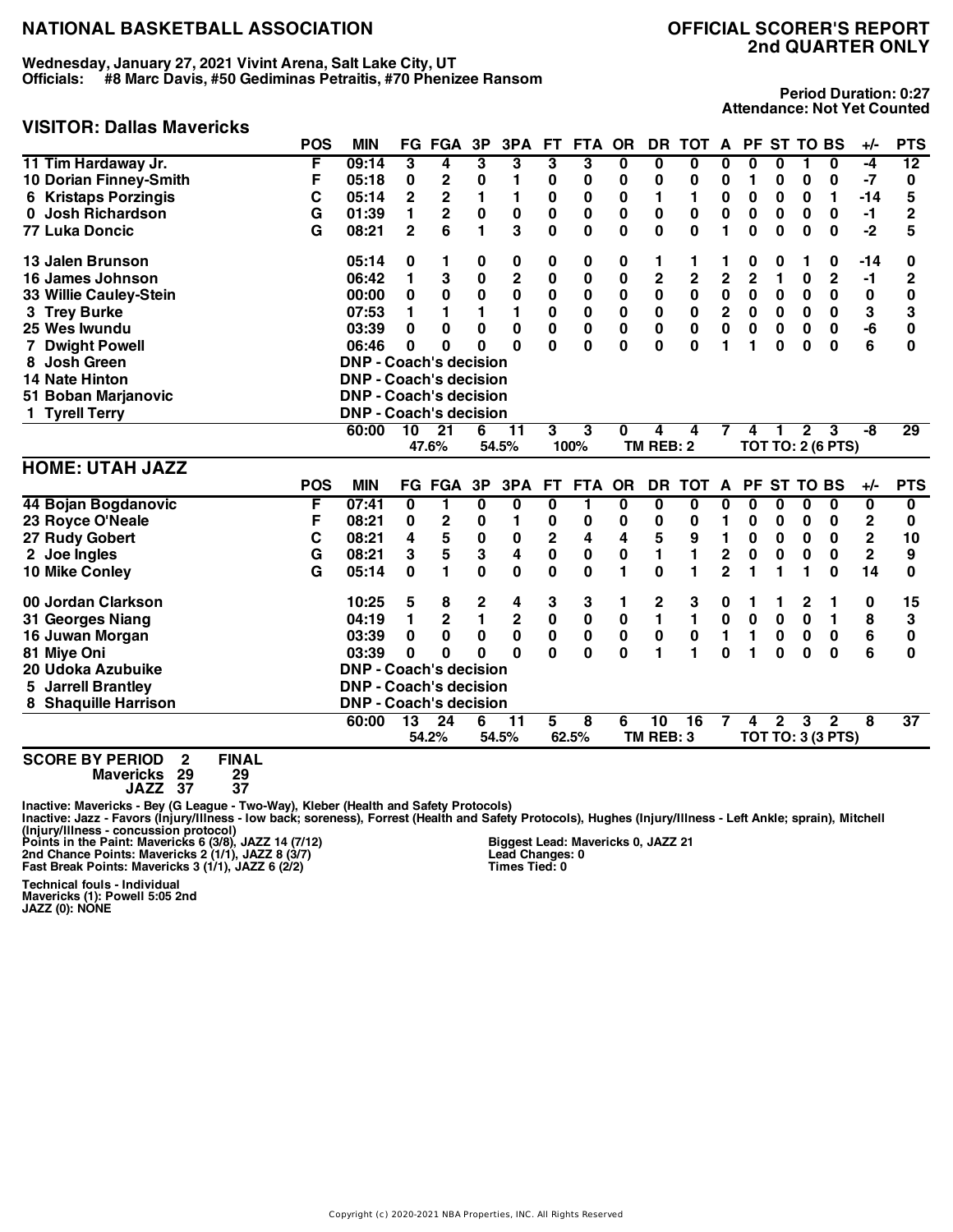**Wednesday, January 27, 2021 Vivint Arena, Salt Lake City, UT Officials: #8 Marc Davis, #50 Gediminas Petraitis, #70 Phenizee Ransom**

# **VISITOR: Dallas Mavericks**

**Period Duration: 0:27 Attendance: Not Yet Counted**

|                                      | <b>POS</b> | <b>MIN</b>                    |                 | FG FGA                  | 3P             | 3PA                     | FT.            | <b>FTA</b>              | <b>OR</b>               |                         | DR TOT A        |                         |                | PF ST TO BS  |              |                          | +/-                     | <b>PTS</b>      |
|--------------------------------------|------------|-------------------------------|-----------------|-------------------------|----------------|-------------------------|----------------|-------------------------|-------------------------|-------------------------|-----------------|-------------------------|----------------|--------------|--------------|--------------------------|-------------------------|-----------------|
| 11 Tim Hardaway Jr.                  | F          | 09:14                         | 3               | 4                       | 3              | 3                       | 3              | 3                       | 0                       | 0                       | 0               | 0                       | 0              | 0            | 1            | 0                        | $-4$                    | 12              |
| 10 Dorian Finney-Smith               | F          | 05:18                         | 0               | 2                       | $\bf{0}$       | 1                       | 0              | 0                       | 0                       | 0                       | 0               | 0                       | 1              | 0            | 0            | 0                        | $-7$                    | 0               |
| <b>6 Kristaps Porzingis</b>          | C          | 05:14                         | $\overline{2}$  | $\mathbf 2$             | 1              | 1                       | $\pmb{0}$      | $\bf{0}$                | $\pmb{0}$               | 1                       | 1               | 0                       | 0              | $\bf{0}$     | 0            | 1                        | $-14$                   | 5               |
| Josh Richardson<br>0                 | G          | 01:39                         | 1               | $\mathbf 2$             | $\pmb{0}$      | $\pmb{0}$               | $\pmb{0}$      | $\bf{0}$                | 0                       | 0                       | 0               | $\pmb{0}$               | $\pmb{0}$      | $\bf{0}$     | $\bf{0}$     | 0                        | $-1$                    | $\overline{2}$  |
| <b>77 Luka Doncic</b>                | G          | 08:21                         | $\overline{2}$  | 6                       | 1              | 3                       | 0              | 0                       | $\bf{0}$                | 0                       | $\bf{0}$        | 1                       | $\bf{0}$       | $\bf{0}$     | $\bf{0}$     | $\bf{0}$                 | $-2$                    | 5               |
| 13 Jalen Brunson                     |            | 05:14                         | 0               | 1.                      | 0              | 0                       | 0              | 0                       | 0                       | 1                       | 1               |                         | 0              | 0            | 1            | 0                        | $-14$                   | 0               |
| 16 James Johnson                     |            | 06:42                         | 1               | 3                       | 0              | $\overline{\mathbf{c}}$ | 0              | $\bf{0}$                | 0                       | $\overline{\mathbf{c}}$ | $\overline{2}$  | $\overline{\mathbf{c}}$ | $\overline{2}$ | 1            | $\bf{0}$     | $\mathbf{2}$             | -1                      | $\overline{2}$  |
| 33 Willie Cauley-Stein               |            | 00:00                         | 0               | 0                       | 0              | 0                       | $\bf{0}$       | 0                       | 0                       | 0                       | 0               | 0                       | 0              | 0            | 0            | 0                        | 0                       | 0               |
| 3 Trey Burke                         |            | 07:53                         | 1               | 1                       | 1              | 1                       | 0              | $\bf{0}$                | 0                       | 0                       | 0               | $\mathbf 2$             | 0              | $\bf{0}$     | $\bf{0}$     | 0                        | 3                       | 3               |
| 25 Wes Iwundu                        |            | 03:39                         | 0               | 0                       | $\mathbf{0}$   | 0                       | $\bf{0}$       | 0                       | 0                       | $\mathbf 0$             | 0               | $\mathbf 0$             | 0              | 0            | $\bf{0}$     | 0                        | -6                      | $\bf{0}$        |
| <b>Dwight Powell</b>                 |            | 06:46                         | 0               | 0                       | O              | $\Omega$                | 0              | $\bf{0}$                | $\bf{0}$                | 0                       | $\Omega$        | 1                       | 1              | $\bf{0}$     | 0            | 0                        | 6                       | 0               |
| <b>Josh Green</b><br>8               |            | <b>DNP - Coach's decision</b> |                 |                         |                |                         |                |                         |                         |                         |                 |                         |                |              |              |                          |                         |                 |
| <b>14 Nate Hinton</b>                |            | <b>DNP - Coach's decision</b> |                 |                         |                |                         |                |                         |                         |                         |                 |                         |                |              |              |                          |                         |                 |
| 51 Boban Marjanovic                  |            | <b>DNP - Coach's decision</b> |                 |                         |                |                         |                |                         |                         |                         |                 |                         |                |              |              |                          |                         |                 |
| 1 Tyrell Terry                       |            | <b>DNP - Coach's decision</b> |                 |                         |                |                         |                |                         |                         |                         |                 |                         |                |              |              |                          |                         |                 |
|                                      |            | 60:00                         | 10              | $\overline{21}$         | 6              | $\overline{11}$         | 3              | 3                       | 0                       | 4                       | 4               | 7                       | 4              | 1            | $\mathbf{2}$ | 3                        | -8                      | 29              |
|                                      |            |                               |                 | 47.6%                   |                | 54.5%                   |                | 100%                    |                         | <b>TM REB: 2</b>        |                 |                         |                |              |              | <b>TOT TO: 2 (6 PTS)</b> |                         |                 |
| <b>HOME: UTAH JAZZ</b>               |            |                               |                 |                         |                |                         |                |                         |                         |                         |                 |                         |                |              |              |                          |                         |                 |
|                                      | <b>POS</b> | <b>MIN</b>                    |                 | <b>FG FGA</b>           | 3P             | 3PA                     | <b>FT</b>      | <b>FTA</b>              | <b>OR</b>               | DR                      | <b>TOT</b>      | $\mathbf{A}$            |                | PF ST TO BS  |              |                          | +/-                     | <b>PTS</b>      |
| 44 Bojan Bogdanovic                  | F          | 07:41                         | 0               | 1                       | 0              | 0                       | 0              | 1                       | $\overline{\mathbf{0}}$ | 0                       | 0               | 0                       | 0              | 0            | 0            | 0                        | 0                       | 0               |
| 23 Royce O'Neale                     | F          | 08:21                         | 0               | $\mathbf 2$             | 0              | 1                       | 0              | 0                       | 0                       | 0                       | 0               | 1                       | 0              | 0            | 0            | 0                        | 2                       | 0               |
| 27 Rudy Gobert                       | С          | 08:21                         | 4               | 5                       | $\bf{0}$       | 0                       | $\overline{2}$ | 4                       | 4                       | 5                       | 9               | $\blacksquare$          | 0              | $\bf{0}$     | $\bf{0}$     | 0                        | $\overline{\mathbf{2}}$ | 10              |
| 2 Joe Ingles                         | G          | 08:21                         | 3               | 5                       | 3              | 4                       | $\mathbf 0$    | 0                       | 0                       | 1                       | $\blacksquare$  | $\mathbf 2$             | 0              | 0            | $\bf{0}$     | $\bf{0}$                 | $\overline{2}$          | 9               |
| 10 Mike Conley                       | G          | 05:14                         | 0               | 1.                      | $\mathbf 0$    | $\mathbf 0$             | $\mathbf 0$    | 0                       | 1                       | 0                       | 1               | $\overline{2}$          | 1              | 1            | 1            | $\bf{0}$                 | 14                      | 0               |
| 00 Jordan Clarkson                   |            | 10:25                         | 5               | 8                       | 2              | 4                       | 3              | 3                       | 1                       | 2                       | 3               | 0                       | 1              | 1            | 2            | 1                        | 0                       | 15              |
| 31 Georges Niang                     |            | 04:19                         | 1               | $\overline{\mathbf{c}}$ | $\blacksquare$ | $\mathbf 2$             | $\pmb{0}$      | $\bf{0}$                | 0                       | 1                       | $\blacksquare$  | $\pmb{0}$               | $\pmb{0}$      | $\bf{0}$     | $\bf{0}$     | $\mathbf{1}$             | 8                       | 3               |
| 16 Juwan Morgan                      |            | 03:39                         | 0               | 0                       | $\bf{0}$       | 0                       | 0              | 0                       | 0                       | $\pmb{0}$               | $\bf{0}$        | $\mathbf{1}$            | 1              | $\bf{0}$     | $\bf{0}$     | $\pmb{0}$                | 6                       | 0               |
| 81 Miye Oni                          |            | 03:39                         | 0               | $\bf{0}$                | O              | $\bf{0}$                | 0              | 0                       | $\bf{0}$                | 1                       | 1               | $\bf{0}$                | 1              | $\bf{0}$     | $\bf{0}$     | $\bf{0}$                 | 6                       | 0               |
| 20 Udoka Azubuike                    |            | <b>DNP - Coach's decision</b> |                 |                         |                |                         |                |                         |                         |                         |                 |                         |                |              |              |                          |                         |                 |
| <b>Jarrell Brantley</b><br>5         |            | <b>DNP - Coach's decision</b> |                 |                         |                |                         |                |                         |                         |                         |                 |                         |                |              |              |                          |                         |                 |
| 8 Shaquille Harrison                 |            | <b>DNP - Coach's decision</b> |                 |                         |                |                         |                |                         |                         |                         |                 |                         |                |              |              |                          |                         |                 |
|                                      |            | 60:00                         | $\overline{13}$ | $\overline{24}$         | 6              | $\overline{11}$         | 5              | $\overline{\mathbf{8}}$ | 6                       | $\overline{10}$         | $\overline{16}$ | 7                       | 4              | $\mathbf{2}$ | 3            | $\mathbf{2}$             | 8                       | $\overline{37}$ |
|                                      |            |                               |                 | 54.2%                   |                | 54.5%                   |                | 62.5%                   |                         | TM REB: 3               |                 |                         |                |              |              | <b>TOT TO: 3 (3 PTS)</b> |                         |                 |
| SCORE BY PERIOD<br><b>FINAI</b><br>2 |            |                               |                 |                         |                |                         |                |                         |                         |                         |                 |                         |                |              |              |                          |                         |                 |

**SCORE BY PERIOD 2 FINAL Mavericks 29 29**

**JAZZ 37 37**

Inactive: Mavericks - Bey (G League - Two-Way), Kleber (Health and Safety Protocols)<br>Inactive: Jazz - Favors (Injury/Illness - Iow back; soreness), Forrest (Health and Safety Protocols), Hughes (Injury/Illness - Left Ankle

**Biggest Lead: Mavericks 0, JAZZ 21 Lead Changes: 0 Times Tied: 0**

**Technical fouls - Individual Mavericks (1): Powell 5:05 2nd JAZZ (0): NONE**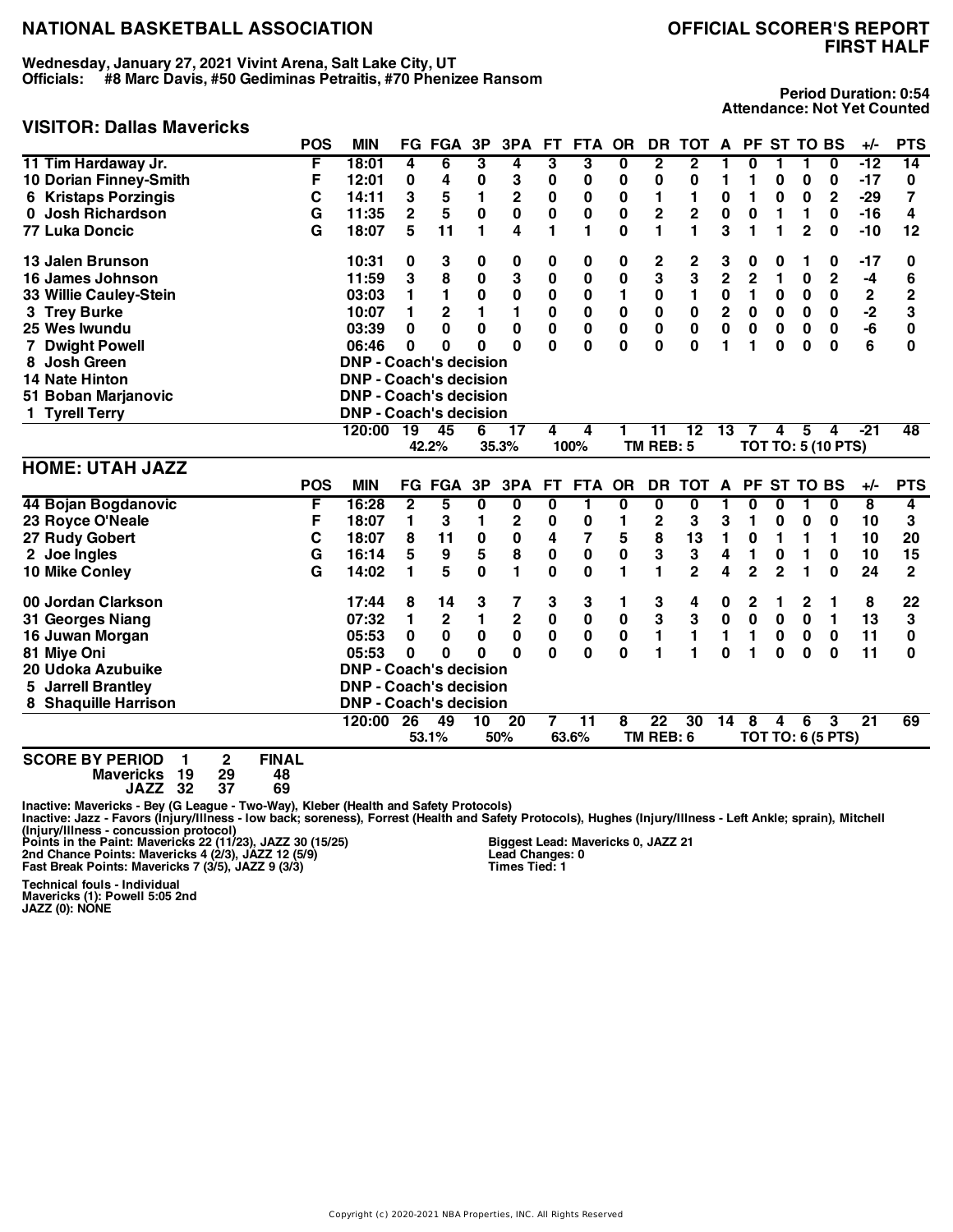**Wednesday, January 27, 2021 Vivint Arena, Salt Lake City, UT Officials: #8 Marc Davis, #50 Gediminas Petraitis, #70 Phenizee Ransom**

# **FIRST HALF**

#### **Period Duration: 0:54 Attendance: Not Yet Counted**

| <b>VISITOR: Dallas Mavericks</b>                                            |                    |                               |                 |                |                |                 |              |                 |              |                         |                         |                |                |                |                |                           |                         |                |
|-----------------------------------------------------------------------------|--------------------|-------------------------------|-----------------|----------------|----------------|-----------------|--------------|-----------------|--------------|-------------------------|-------------------------|----------------|----------------|----------------|----------------|---------------------------|-------------------------|----------------|
|                                                                             | <b>POS</b>         | <b>MIN</b>                    |                 | <b>FG FGA</b>  | 3P             | 3PA             | <b>FT</b>    | <b>FTA</b>      | <b>OR</b>    | DR                      | <b>TOT</b>              | A              |                |                | PF ST TO BS    |                           | +/-                     | <b>PTS</b>     |
| 11 Tim Hardaway Jr.                                                         | F                  | 18:01                         | 4               | 6              | 3              | 4               | 3            | 3               | 0            | $\overline{\mathbf{2}}$ | $\overline{\mathbf{2}}$ | 1              | 0              | 1              | 1              | 0                         | -12                     | 14             |
| 10 Dorian Finney-Smith                                                      | F                  | 12:01                         | 0               | 4              | 0              | 3               | 0            | 0               | 0            | 0                       | 0                       | 1              | 1              | 0              | 0              | 0                         | -17                     | 0              |
| <b>6 Kristaps Porzingis</b>                                                 | C                  | 14:11                         | 3               | 5              | 1              | $\overline{2}$  | $\mathbf 0$  | $\mathbf 0$     | $\mathbf 0$  | 1                       | 1                       | $\bf{0}$       | 1              | 0              | $\bf{0}$       | $\overline{2}$            | $-29$                   | 7              |
| 0 Josh Richardson                                                           | G                  | 11:35                         | $\overline{2}$  | 5              | $\mathbf 0$    | $\pmb{0}$       | 0            | $\bf{0}$        | 0            | 2                       | $\overline{2}$          | 0              | 0              | 1              | 1              | 0                         | $-16$                   | 4              |
| <b>77 Luka Doncic</b>                                                       | G                  | 18:07                         | 5               | 11             | $\blacksquare$ | 4               | 1            | 1               | $\bf{0}$     | $\mathbf{1}$            | 1                       | 3              | 1              | 1              | $\overline{2}$ | $\bf{0}$                  | $-10$                   | 12             |
| 13 Jalen Brunson                                                            |                    | 10:31                         | 0               | 3              | 0              | 0               | 0            | 0               | 0            | 2                       | $\overline{\mathbf{c}}$ | 3              | 0              | 0              | 1              | 0                         | -17                     | 0              |
| 16 James Johnson                                                            |                    | 11:59                         | 3               | 8              | $\bf{0}$       | 3               | 0            | $\bf{0}$        | $\bf{0}$     | 3                       | 3                       | $\overline{2}$ | $\overline{2}$ | 1              | 0              | $\mathbf 2$               | $-4$                    | 6              |
| 33 Willie Cauley-Stein                                                      |                    | 03:03                         | 1               | $\blacksquare$ | $\bf{0}$       | $\pmb{0}$       | $\mathbf 0$  | $\bf{0}$        | 1            | $\pmb{0}$               | $\blacksquare$          | $\mathbf 0$    | 1              | 0              | $\bf{0}$       | $\mathbf 0$               | $\mathbf 2$             | $\overline{2}$ |
| 3 Trey Burke                                                                |                    | 10:07                         | 1               | $\mathbf 2$    | 1              | 1               | 0            | $\bf{0}$        | 0            | 0                       | $\mathbf 0$             | $\mathbf 2$    | 0              | 0              | 0              | 0                         | $-2$                    | 3              |
| 25 Wes Iwundu                                                               |                    | 03:39                         | 0               | 0              | $\mathbf 0$    | $\bf{0}$        | 0            | $\bf{0}$        | 0            | 0                       | $\bf{0}$                | $\mathbf 0$    | 0              | $\bf{0}$       | $\bf{0}$       | 0                         | -6                      | $\bf{0}$       |
| $\overline{7}$<br><b>Dwight Powell</b>                                      |                    | 06:46                         | 0               | 0              | 0              | $\bf{0}$        | 0            | 0               | 0            | 0                       | $\bf{0}$                | 1              | 1              | $\bf{0}$       | 0              | 0                         | 6                       | 0              |
| 8 Josh Green                                                                |                    | <b>DNP - Coach's decision</b> |                 |                |                |                 |              |                 |              |                         |                         |                |                |                |                |                           |                         |                |
| <b>14 Nate Hinton</b>                                                       |                    | <b>DNP - Coach's decision</b> |                 |                |                |                 |              |                 |              |                         |                         |                |                |                |                |                           |                         |                |
| 51 Boban Marjanovic                                                         |                    | <b>DNP - Coach's decision</b> |                 |                |                |                 |              |                 |              |                         |                         |                |                |                |                |                           |                         |                |
| 1 Tyrell Terry                                                              |                    | <b>DNP - Coach's decision</b> |                 |                |                |                 |              |                 |              |                         |                         |                |                |                |                |                           |                         |                |
|                                                                             |                    | 120:00                        | $\overline{19}$ | 45             | 6              | 17              | 4            | 4               | 1            | 11                      | $\overline{12}$         | 13             | 7              | 4              | 5              | 4                         | $-21$                   | 48             |
|                                                                             |                    |                               |                 | 42.2%          |                | 35.3%           |              | 100%            |              | TM REB: 5               |                         |                |                |                |                | <b>TOT TO: 5 (10 PTS)</b> |                         |                |
| <b>HOME: UTAH JAZZ</b>                                                      |                    |                               |                 |                |                |                 |              |                 |              |                         |                         |                |                |                |                |                           |                         |                |
|                                                                             | <b>POS</b>         | <b>MIN</b>                    |                 | <b>FG FGA</b>  | 3P             | 3PA             | <b>FT</b>    | <b>FTA</b>      | OR           | DR                      | <b>TOT</b>              | A              |                |                | PF ST TO BS    |                           | $+/-$                   | <b>PTS</b>     |
| 44 Bojan Bogdanovic                                                         | F                  | 16:28                         | $\mathbf{2}$    | 5              | $\mathbf{0}$   | $\bf{0}$        | 0            | $\mathbf{1}$    | 0            | $\bf{0}$                | $\mathbf{0}$            | 1              | 0              | $\bf{0}$       | 1              | $\bf{0}$                  | $\overline{\mathbf{8}}$ | 4              |
| 23 Royce O'Neale                                                            | F                  | 18:07                         | 1               | 3              | 1              | $\mathbf{2}$    | 0            | 0               | 1            | $\mathbf{2}$            | 3                       | 3              | 1              | 0              | 0              | 0                         | 10                      | 3              |
| 27 Rudy Gobert                                                              | C                  | 18:07                         | 8               | 11             | 0              | 0               | 4            | 7               | 5            | 8                       | 13                      | 1              | 0              | 1              | 1              | 1                         | 10                      | 20             |
| 2 Joe Ingles                                                                | G                  | 16:14                         | 5               | 9              | 5              | 8               | 0            | $\bf{0}$        | $\bf{0}$     | 3                       | 3                       | 4              | 1              | 0              | 1              | 0                         | 10                      | 15             |
| 10 Mike Conley                                                              | G                  | 14:02                         | 1               | 5              | $\mathbf{0}$   | 1               | $\mathbf{0}$ | $\mathbf{0}$    | 1            | 1                       | $\overline{2}$          | 4              | $\overline{2}$ | $\overline{2}$ | 1              | $\bf{0}$                  | 24                      | $\mathbf{2}$   |
| 00 Jordan Clarkson                                                          |                    | 17:44                         | 8               | 14             | 3              | 7               | 3            | 3               | 1            | 3                       | 4                       | 0              | 2              | 1              | 2              | 1                         | 8                       | 22             |
| 31 Georges Niang                                                            |                    | 07:32                         | 1               | $\mathbf 2$    | 1              | $\mathbf 2$     | 0            | $\bf{0}$        | $\bf{0}$     | 3                       | 3                       | $\mathbf 0$    | $\mathbf 0$    | $\bf{0}$       | 0              | 1                         | 13                      | 3              |
| 16 Juwan Morgan                                                             |                    | 05:53                         | 0               | 0              | 0              | 0               | 0            | $\bf{0}$        | $\mathbf 0$  | 1                       | $\mathbf{1}$            | 1              | 1              | 0              | 0              | $\bf{0}$                  | 11                      | 0              |
| 81 Miye Oni                                                                 |                    | 05:53                         | 0               | 0              | 0              | $\Omega$        | $\Omega$     | $\mathbf{0}$    | $\mathbf{0}$ | 1                       | 1                       | $\bf{0}$       | 1              | $\bf{0}$       | $\bf{0}$       | $\bf{0}$                  | 11                      | 0              |
| 20 Udoka Azubuike                                                           |                    | <b>DNP - Coach's decision</b> |                 |                |                |                 |              |                 |              |                         |                         |                |                |                |                |                           |                         |                |
| <b>Jarrell Brantley</b><br>5.                                               |                    | <b>DNP - Coach's decision</b> |                 |                |                |                 |              |                 |              |                         |                         |                |                |                |                |                           |                         |                |
| 8 Shaquille Harrison                                                        |                    | <b>DNP - Coach's decision</b> |                 |                |                |                 |              |                 |              |                         |                         |                |                |                |                |                           |                         |                |
|                                                                             |                    | 120:00                        | 26              | 49             | 10             | $\overline{20}$ | 7            | $\overline{11}$ | 8            | $\overline{22}$         | 30                      | 14             | 8              | 4              | 6              | 3                         | $\overline{21}$         | 69             |
|                                                                             |                    |                               |                 | 53.1%          |                | 50%             |              | 63.6%           |              | TM REB: 6               |                         |                |                |                |                | <b>TOT TO: 6 (5 PTS)</b>  |                         |                |
| <b>SCORE BY PERIOD</b><br>$\mathbf{2}$<br>1<br>19<br>29<br><b>Mavericks</b> | <b>FINAL</b><br>48 |                               |                 |                |                |                 |              |                 |              |                         |                         |                |                |                |                |                           |                         |                |

**JAZZ 32 37 69**

Inactive: Mavericks - Bey (G League - Two-Way), Kleber (Health and Safety Protocols)<br>Inactive: Jazz - Favors (Injury/Illness - Iow back; soreness), Forrest (Health and Safety Protocols), Hughes (Injury/Illness - Left Ankle

**Biggest Lead: Mavericks 0, JAZZ 21 Lead Changes: 0 Times Tied: 1**

**Technical fouls - Individual Mavericks (1): Powell 5:05 2nd JAZZ (0): NONE**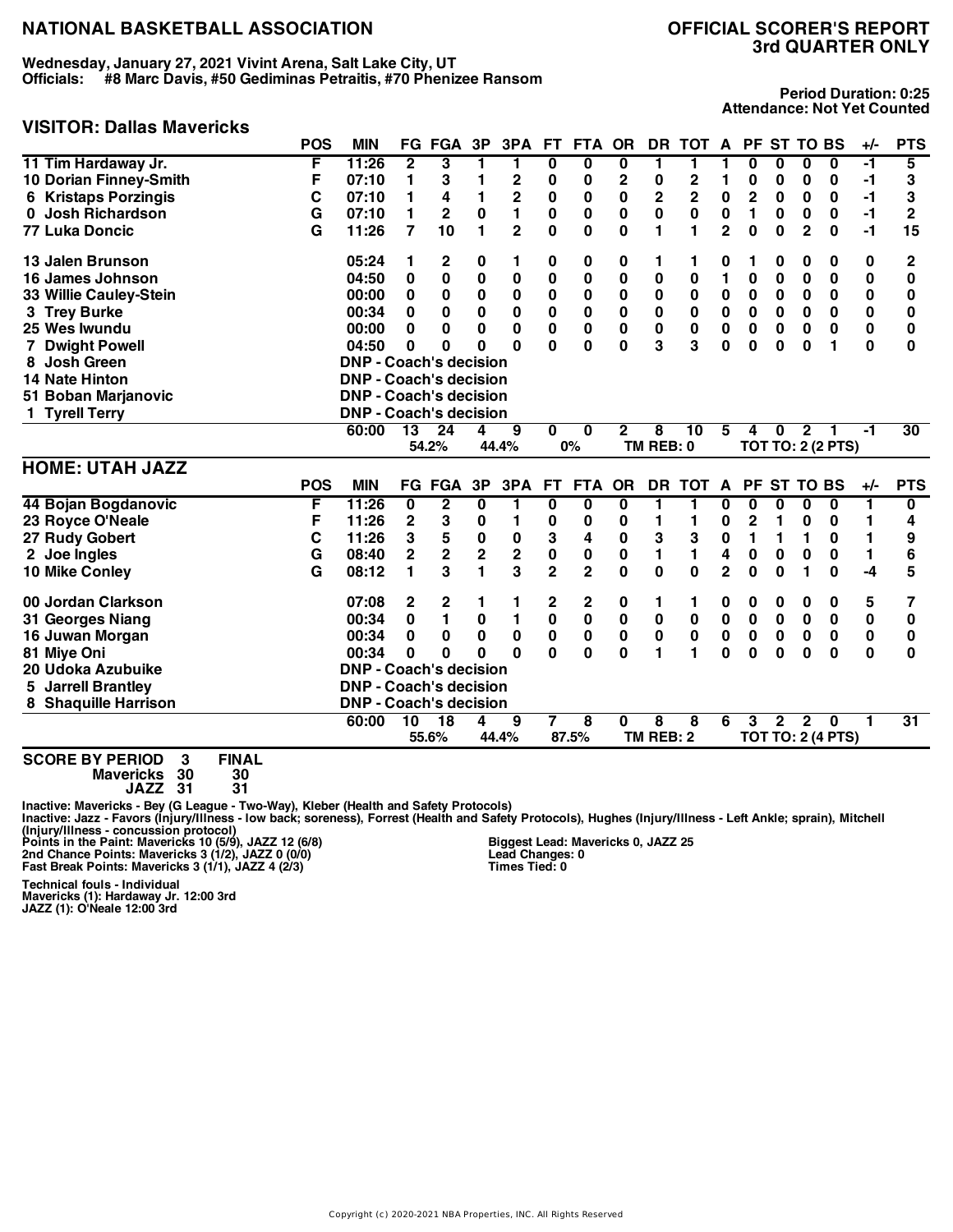**Wednesday, January 27, 2021 Vivint Arena, Salt Lake City, UT Officials: #8 Marc Davis, #50 Gediminas Petraitis, #70 Phenizee Ransom**

# **VISITOR: Dallas Mavericks**

# **3rd QUARTER ONLY**

**Period Duration: 0:25 Attendance: Not Yet Counted**

| VII. DUNUJ MUVUIVNJ                         |            |                               |                 |                         |                         |                |                         |                         |                         |             |                         |                |                         |                  |                |                          |             |                 |
|---------------------------------------------|------------|-------------------------------|-----------------|-------------------------|-------------------------|----------------|-------------------------|-------------------------|-------------------------|-------------|-------------------------|----------------|-------------------------|------------------|----------------|--------------------------|-------------|-----------------|
|                                             | <b>POS</b> | <b>MIN</b>                    |                 | <b>FG FGA</b>           | 3P                      | 3PA            | <b>FT</b>               | <b>FTA</b>              | <b>OR</b>               |             | DR TOT A                |                |                         | PF ST TO BS      |                |                          | +/-         | <b>PTS</b>      |
| 11 Tim Hardaway Jr.                         | F          | 11:26                         | $\overline{2}$  | 3                       | 1                       | 1              | 0                       | $\overline{\mathbf{0}}$ | 0                       | 1           | 1                       | 1              | $\overline{\mathbf{0}}$ | 0                | $\bf{0}$       | $\bf{0}$                 | -1          | $\overline{5}$  |
| 10 Dorian Finney-Smith                      | F          | 07:10                         | 1               | 3                       | 1                       | $\mathbf 2$    | 0                       | $\bf{0}$                | $\mathbf 2$             | $\pmb{0}$   | $\overline{\mathbf{c}}$ | 1              | 0                       | 0                | 0              | 0                        | $-1$        | 3               |
| <b>6 Kristaps Porzingis</b>                 | C          | 07:10                         | 1               | 4                       | 1                       | $\mathbf 2$    | $\bf{0}$                | 0                       | $\bf{0}$                | 2           | $\overline{2}$          | $\pmb{0}$      | $\overline{\mathbf{c}}$ | $\bf{0}$         | $\bf{0}$       | $\bf{0}$                 | $-1$        | 3               |
| 0 Josh Richardson                           | G          | 07:10                         | 1               | 2                       | 0                       | $\blacksquare$ | 0                       | 0                       | $\bf{0}$                | 0           | $\bf{0}$                | $\pmb{0}$      | 1                       | 0                | $\bf{0}$       | 0                        | $-1$        | $\mathbf{2}$    |
| <b>77 Luka Doncic</b>                       | G          | 11:26                         | $\overline{7}$  | 10                      | 1                       | $\overline{2}$ | 0                       | 0                       | $\bf{0}$                | 1           | 1                       | $\overline{2}$ | 0                       | $\bf{0}$         | $\overline{2}$ | $\bf{0}$                 | $-1$        | 15              |
| 13 Jalen Brunson                            |            | 05:24                         | 1               | 2                       | 0                       | 1              | 0                       | 0                       | 0                       | 1           | 1                       | 0              | 1                       | 0                | 0              | 0                        | 0           | 2               |
| 16 James Johnson                            |            | 04:50                         | $\bf{0}$        | 0                       | $\bf{0}$                | $\bf{0}$       | 0                       | $\bf{0}$                | $\bf{0}$                | 0           | $\bf{0}$                | 1              | $\mathbf 0$             | 0                | $\bf{0}$       | 0                        | 0           | 0               |
| 33 Willie Cauley-Stein                      |            | 00:00                         | 0               | 0                       | 0                       | 0              | 0                       | 0                       | 0                       | 0           | $\bf{0}$                | 0              | 0                       | 0                | $\bf{0}$       | 0                        | 0           | 0               |
| 3 Trey Burke                                |            | 00:34                         | $\bf{0}$        | $\bf{0}$                | 0                       | 0              | 0                       | $\bf{0}$                | $\bf{0}$                | $\mathbf 0$ | $\bf{0}$                | $\mathbf 0$    | $\mathbf 0$             | $\bf{0}$         | $\bf{0}$       | 0                        | 0           | 0               |
| 25 Wes Iwundu                               |            | 00:00                         | $\bf{0}$        | 0                       | 0                       | $\mathbf 0$    | 0                       | $\mathbf 0$             | $\mathbf 0$             | $\mathbf 0$ | $\bf{0}$                | $\mathbf 0$    | $\mathbf 0$             | $\bf{0}$         | $\bf{0}$       | $\bf{0}$                 | $\mathbf 0$ | $\bf{0}$        |
| <b>Dwight Powell</b>                        |            | 04:50                         | 0               | 0                       | U                       | <sup>0</sup>   | O                       | $\Omega$                | $\bf{0}$                | 3           | 3                       | $\bf{0}$       | 0                       | $\bf{0}$         | 0              | 1                        | $\bf{0}$    | 0               |
| Josh Green<br>8                             |            | <b>DNP - Coach's decision</b> |                 |                         |                         |                |                         |                         |                         |             |                         |                |                         |                  |                |                          |             |                 |
| <b>14 Nate Hinton</b>                       |            | <b>DNP - Coach's decision</b> |                 |                         |                         |                |                         |                         |                         |             |                         |                |                         |                  |                |                          |             |                 |
| 51 Boban Marjanovic                         |            | <b>DNP - Coach's decision</b> |                 |                         |                         |                |                         |                         |                         |             |                         |                |                         |                  |                |                          |             |                 |
| 1 Tyrell Terry                              |            | <b>DNP - Coach's decision</b> |                 |                         |                         |                |                         |                         |                         |             |                         |                |                         |                  |                |                          |             |                 |
|                                             |            | 60:00                         | $\overline{13}$ | $\overline{24}$         | 4                       | 9              | 0                       | 0                       | $\mathbf{2}$            | 8           | 10                      | 5              | 4                       | $\bf{0}$         | $\mathbf{2}$   |                          | -1          | 30              |
|                                             |            |                               |                 | 54.2%                   |                         | 44.4%          |                         | 0%                      |                         | TM REB: 0   |                         |                |                         |                  |                | <b>TOT TO: 2 (2 PTS)</b> |             |                 |
| <b>HOME: UTAH JAZZ</b>                      |            |                               |                 |                         |                         |                |                         |                         |                         |             |                         |                |                         |                  |                |                          |             |                 |
|                                             | <b>POS</b> | <b>MIN</b>                    |                 | <b>FG FGA</b>           | 3P                      | 3PA            | <b>FT</b>               | <b>FTA</b>              | <b>OR</b>               |             | DR TOT A                |                |                         | PF ST TO BS      |                |                          | +/-         | <b>PTS</b>      |
| 44 Bojan Bogdanovic                         | F          | 11:26                         | 0               | $\overline{\mathbf{2}}$ | $\mathbf 0$             | 1              | $\overline{\mathbf{0}}$ | $\bf{0}$                | $\overline{\mathbf{0}}$ | 1           | 1                       | 0              | 0                       | 0                | $\bf{0}$       | 0                        | ī           | 0               |
| 23 Royce O'Neale                            | F          | 11:26                         | $\overline{2}$  | 3                       | 0                       | 1              | $\mathbf 0$             | $\bf{0}$                | $\bf{0}$                | 1           | 1                       | 0              | $\overline{2}$          | 1                | 0              | 0                        | 1           | 4               |
| 27 Rudy Gobert                              | C          | 11:26                         | 3               | 5                       | 0                       | 0              | 3                       | 4                       | $\pmb{0}$               | 3           | ${\bf 3}$               | 0              | 1                       | 1                | 1              | 0                        | 1           | 9               |
| 2 Joe Ingles                                | G          | 08:40                         | $\overline{2}$  | $\overline{2}$          | $\overline{\mathbf{c}}$ | $\mathbf 2$    | $\pmb{0}$               | 0                       | $\bf{0}$                | 1           | 1                       | 4              | 0                       | $\bf{0}$         | 0              | $\bf{0}$                 | 1           | 6               |
| 10 Mike Conley                              | G          | 08:12                         | 1               | 3                       | 1                       | 3              | $\overline{2}$          | $\overline{2}$          | $\bf{0}$                | 0           | $\mathbf{0}$            | $\overline{2}$ | $\bf{0}$                | $\bf{0}$         | 1              | $\Omega$                 | $-4$        | 5               |
| 00 Jordan Clarkson                          |            | 07:08                         | 2               | 2                       |                         |                | 2                       | 2                       | 0                       | 1           | 1                       | 0              | 0                       | 0                | 0              | 0                        | 5           | 7               |
| 31 Georges Niang                            |            | 00:34                         | 0               | 1                       | 0                       | 1              | $\pmb{0}$               | $\bf{0}$                | 0                       | 0           | $\pmb{0}$               | 0              | 0                       | $\boldsymbol{0}$ | $\bf{0}$       | $\bf{0}$                 | $\pmb{0}$   | $\bf{0}$        |
| 16 Juwan Morgan                             |            | 00:34                         | 0               | $\bf{0}$                | 0                       | 0              | $\pmb{0}$               | $\pmb{0}$               | $\pmb{0}$               | $\mathbf 0$ | $\bf{0}$                | 0              | 0                       | $\mathbf 0$      | $\bf{0}$       | 0                        | 0           | 0               |
| 81 Miye Oni                                 |            | 00:34                         | 0               | 0                       | O                       | $\Omega$       | $\mathbf{0}$            | $\bf{0}$                | $\bf{0}$                | 1           | 1                       | $\bf{0}$       | $\bf{0}$                | $\bf{0}$         | $\bf{0}$       | $\bf{0}$                 | $\bf{0}$    | $\bf{0}$        |
| 20 Udoka Azubuike                           |            | <b>DNP - Coach's decision</b> |                 |                         |                         |                |                         |                         |                         |             |                         |                |                         |                  |                |                          |             |                 |
| <b>Jarrell Brantley</b>                     |            | <b>DNP - Coach's decision</b> |                 |                         |                         |                |                         |                         |                         |             |                         |                |                         |                  |                |                          |             |                 |
| 8 Shaquille Harrison                        |            | <b>DNP - Coach's decision</b> |                 |                         |                         |                |                         |                         |                         |             |                         |                |                         |                  |                |                          |             |                 |
|                                             |            | 60:00                         | 10              | 18                      | 4                       | 9              | 7                       | 8                       | 0                       | 8           | 8                       | 6              | 3                       | $\overline{2}$   | $\mathbf{2}$   | $\bf{0}$                 | 1           | $\overline{31}$ |
|                                             |            |                               |                 | 55.6%                   |                         | 44.4%          |                         | 87.5%                   |                         | TM REB: 2   |                         |                |                         |                  |                | <b>TOT TO: 2 (4 PTS)</b> |             |                 |
| <b>SCORE BY PERIOD</b><br><b>FINAL</b><br>3 |            |                               |                 |                         |                         |                |                         |                         |                         |             |                         |                |                         |                  |                |                          |             |                 |

**Mavericks 30 30**

**JAZZ 31 31**

Inactive: Mavericks - Bey (G League - Two-Way), Kleber (Health and Safety Protocols)<br>Inactive: Jazz - Favors (Injury/Illness - Iow back; soreness), Forrest (Health and Safety Protocols), Hughes (Injury/Illness - Left Ankle

**Biggest Lead: Mavericks 0, JAZZ 25 Lead Changes: 0 Times Tied: 0**

**Technical fouls - Individual Mavericks (1): Hardaway Jr. 12:00 3rd JAZZ (1): O'Neale 12:00 3rd**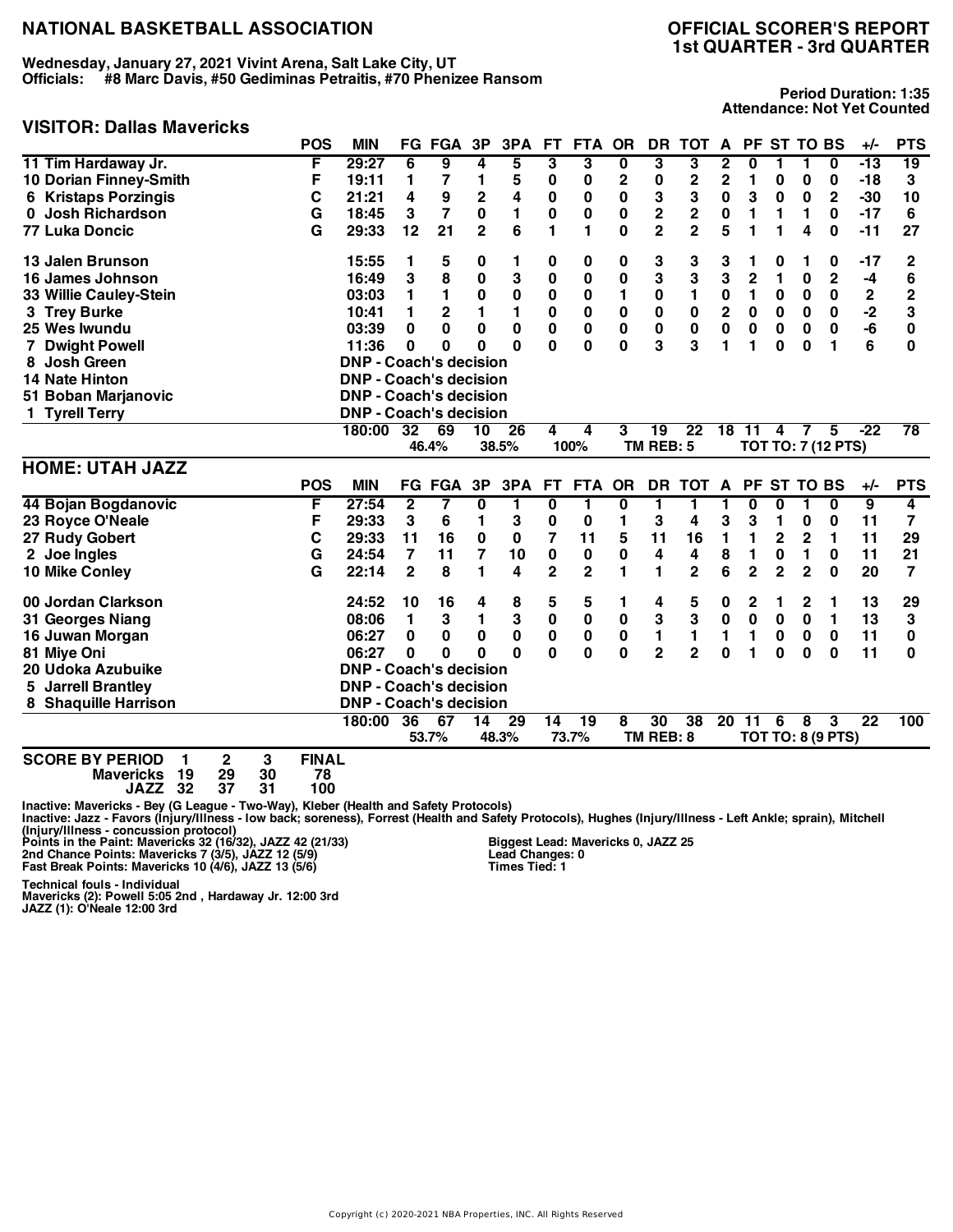**Wednesday, January 27, 2021 Vivint Arena, Salt Lake City, UT Officials: #8 Marc Davis, #50 Gediminas Petraitis, #70 Phenizee Ransom**

## **VISITOR: Dallas Mavericks**

**Period Duration: 1:35 Attendance: Not Yet Counted**

|                                                                                                                              | <b>POS</b>                     | <b>MIN</b>                    |                | FG FGA       | 3P             | 3PA      | <b>FT</b>      | <b>FTA</b>      | <b>OR</b>               | DR                      | <b>TOT</b>      | A               |                         |                | PF ST TO BS     |                          | +/-             | <b>PTS</b>     |
|------------------------------------------------------------------------------------------------------------------------------|--------------------------------|-------------------------------|----------------|--------------|----------------|----------|----------------|-----------------|-------------------------|-------------------------|-----------------|-----------------|-------------------------|----------------|-----------------|--------------------------|-----------------|----------------|
| 11 Tim Hardaway Jr.                                                                                                          | F                              | 29:27                         | 6              | 9            | 4              | 5        | 3              | 3               | $\overline{\mathbf{0}}$ | 3                       | 3               | 2               | $\overline{\mathbf{0}}$ | 1              | 1               | $\bf{0}$                 | $-13$           | 19             |
| 10 Dorian Finney-Smith                                                                                                       | F                              | 19:11                         | 1              | 7            | 1              | 5        | 0              | 0               | 2                       | 0                       | 2               | 2               | 1                       | 0              | 0               | 0                        | $-18$           | 3              |
| <b>6 Kristaps Porzingis</b>                                                                                                  | C                              | 21:21                         | 4              | 9            | $\overline{2}$ | 4        | 0              | 0               | $\bf{0}$                | 3                       | 3               | $\mathbf 0$     | 3                       | 0              | 0               | $\mathbf 2$              | $-30$           | 10             |
| <b>Josh Richardson</b><br>0                                                                                                  | G                              | 18:45                         | 3              | 7            | 0              | 1        | $\mathbf 0$    | 0               | $\bf{0}$                | $\overline{\mathbf{c}}$ | 2               | 0               | 1                       | 1              | 1               | $\bf{0}$                 | $-17$           | 6              |
| <b>77 Luka Doncic</b>                                                                                                        | G                              | 29:33                         | 12             | 21           | $\mathbf{2}$   | 6        | 1              | 1               | $\bf{0}$                | $\overline{2}$          | $\overline{2}$  | 5               | 1                       | 1              | 4               | $\bf{0}$                 | $-11$           | 27             |
| 13 Jalen Brunson                                                                                                             |                                | 15:55                         | 1              | 5            | 0              | 1        | 0              | 0               | 0                       | 3                       | 3               | 3               | 1                       | 0              | 1               | 0                        | $-17$           | 2              |
| 16 James Johnson                                                                                                             |                                | 16:49                         | 3              | 8            | 0              | 3        | 0              | 0               | 0                       | 3                       | 3               | 3               | $\overline{2}$          | 1              | 0               | $\mathbf{2}$             | -4              | 6              |
| 33 Willie Cauley-Stein                                                                                                       |                                | 03:03                         | 1              | 1            | 0              | 0        | 0              | 0               | 1                       | 0                       | 1               | 0               | 1                       | 0              | 0               | $\bf{0}$                 | $\mathbf 2$     | $\overline{2}$ |
| 3 Trey Burke                                                                                                                 |                                | 10:41                         | 1              | $\mathbf{2}$ | 1              | 1        | $\mathbf 0$    | 0               | $\bf{0}$                | $\pmb{0}$               | $\bf{0}$        | $\overline{2}$  | 0                       | 0              | $\bf{0}$        | $\bf{0}$                 | $-2$            | 3              |
| 25 Wes Iwundu                                                                                                                |                                | 03:39                         | 0              | 0            | 0              | $\bf{0}$ | $\mathbf 0$    | 0               | $\bf{0}$                | 0                       | $\bf{0}$        | $\mathbf 0$     | 0                       | $\bf{0}$       | 0               | $\bf{0}$                 | -6              | $\bf{0}$       |
| 7 Dwight Powell                                                                                                              |                                | 11:36                         | 0              | 0            | $\Omega$       | $\bf{0}$ | 0              | $\mathbf 0$     | 0                       | 3                       | 3               | 1               | 1                       | $\bf{0}$       | $\bf{0}$        | 1                        | 6               | 0              |
| 8 Josh Green                                                                                                                 |                                | <b>DNP - Coach's decision</b> |                |              |                |          |                |                 |                         |                         |                 |                 |                         |                |                 |                          |                 |                |
| <b>14 Nate Hinton</b>                                                                                                        |                                | <b>DNP - Coach's decision</b> |                |              |                |          |                |                 |                         |                         |                 |                 |                         |                |                 |                          |                 |                |
| 51 Boban Marjanovic                                                                                                          |                                | <b>DNP - Coach's decision</b> |                |              |                |          |                |                 |                         |                         |                 |                 |                         |                |                 |                          |                 |                |
| 1 Tyrell Terry                                                                                                               |                                | <b>DNP - Coach's decision</b> |                |              |                |          |                |                 |                         |                         |                 |                 |                         |                |                 |                          |                 |                |
|                                                                                                                              |                                | 180:00                        | 32             | 69           | 10             | 26       | 4              | 4               | 3                       | $\overline{19}$         | $\overline{22}$ | $\overline{18}$ | $\overline{11}$         | 4              | 7               | 5                        | $-22$           | 78             |
|                                                                                                                              |                                |                               |                | 46.4%        |                | 38.5%    |                | 100%            |                         | TM REB: 5               |                 |                 |                         |                |                 | TOT TO: 7 (12 PTS)       |                 |                |
| <b>HOME: UTAH JAZZ</b>                                                                                                       |                                |                               |                |              |                |          |                |                 |                         |                         |                 |                 |                         |                |                 |                          |                 |                |
|                                                                                                                              | <b>POS</b>                     | <b>MIN</b>                    |                | FG FGA       | 3P             | 3PA      | <b>FT</b>      | <b>FTA</b>      | <b>OR</b>               | DR.                     | TOT A           |                 | <b>PF</b>               |                | <b>ST TO BS</b> |                          | +/-             | <b>PTS</b>     |
| 44 Bojan Bogdanovic                                                                                                          | F                              | 27:54                         | $\mathbf 2$    | 7            | 0              | 1        | 0              | 1               | $\overline{\mathbf{0}}$ | 1                       | 1               | 1               | 0                       | 0              | 1               | 0                        | $\overline{9}$  | 4              |
| 23 Royce O'Neale                                                                                                             | F                              | 29:33                         | 3              | 6            | 1              | 3        | 0              | 0               | 1                       | 3                       | 4               | 3               | 3                       | 1              | $\bf{0}$        | $\bf{0}$                 | 11              | $\overline{ }$ |
| 27 Rudy Gobert                                                                                                               | C                              | 29:33                         | 11             | 16           | 0              | 0        | 7              | 11              | 5                       | 11                      | 16              | 1               | 1                       | $\mathbf{2}$   | $\overline{2}$  | $\mathbf{1}$             | 11              | 29             |
| 2 Joe Ingles                                                                                                                 | G                              | 24:54                         | $\overline{7}$ | 11           | $\overline{7}$ | 10       | $\mathbf 0$    | 0               | 0                       | 4                       | 4               | 8               | 1                       | $\bf{0}$       | 1               | $\bf{0}$                 | 11              | 21             |
| 10 Mike Conley                                                                                                               | G                              | 22:14                         | 2              | 8            | 1              | 4        | $\overline{2}$ | $\overline{2}$  | 1                       | 1                       | $\overline{2}$  | 6               | $\overline{2}$          | $\overline{2}$ | $\overline{2}$  | 0                        | 20              | 7              |
| 00 Jordan Clarkson                                                                                                           |                                | 24:52                         | 10             | 16           | 4              | 8        | 5              | 5               | 1                       | 4                       | 5               | 0               | 2                       | 1              | 2               | 1                        | 13              | 29             |
| 31 Georges Niang                                                                                                             |                                | 08:06                         | 1              | 3            | 1              | 3        | $\pmb{0}$      | $\bf{0}$        | 0                       | 3                       | 3               | $\mathbf 0$     | $\mathbf 0$             | 0              | $\bf{0}$        | 1                        | 13              | 3              |
| 16 Juwan Morgan                                                                                                              |                                | 06:27                         | 0              | 0            | 0              | 0        | $\pmb{0}$      | 0               | 0                       | 1                       | 1               | $\mathbf{1}$    | 1                       | 0              | 0               | $\bf{0}$                 | 11              | 0              |
| 81 Miye Oni                                                                                                                  |                                | 06:27                         | 0              | 0            | O              | O        | 0              | 0               | $\bf{0}$                | $\overline{2}$          | $\overline{2}$  | $\mathbf{0}$    | 1                       | $\bf{0}$       | 0               | $\bf{0}$                 | 11              | 0              |
| 20 Udoka Azubuike                                                                                                            |                                | <b>DNP - Coach's decision</b> |                |              |                |          |                |                 |                         |                         |                 |                 |                         |                |                 |                          |                 |                |
| <b>Jarrell Brantley</b><br>5.                                                                                                |                                | <b>DNP - Coach's decision</b> |                |              |                |          |                |                 |                         |                         |                 |                 |                         |                |                 |                          |                 |                |
| 8 Shaquille Harrison                                                                                                         |                                | <b>DNP - Coach's decision</b> |                |              |                |          |                |                 |                         |                         |                 |                 |                         |                |                 |                          |                 |                |
|                                                                                                                              |                                | 180:00                        | 36             | 67           | 14             | 29       | 14             | $\overline{19}$ | 8                       | 30                      | $\overline{38}$ |                 | 20 11                   | 6              | 8               | 3                        | $\overline{22}$ | 100            |
|                                                                                                                              |                                |                               |                | 53.7%        |                | 48.3%    |                | 73.7%           |                         | TM REB: 8               |                 |                 |                         |                |                 | <b>TOT TO: 8 (9 PTS)</b> |                 |                |
| <b>SCORE BY PERIOD</b><br>$\mathbf 2$<br>$\mathbf{1}$<br>30<br>19<br>29<br><b>Mavericks</b><br>37<br>32<br>31<br><b>JAZZ</b> | <b>FINAL</b><br>3<br>78<br>100 |                               |                |              |                |          |                |                 |                         |                         |                 |                 |                         |                |                 |                          |                 |                |

Inactive: Mavericks - Bey (G League - Two-Way), Kleber (Health and Safety Protocols)<br>Inactive: Jazz - Favors (Injury/Illness - Iow back; soreness), Forrest (Health and Safety Protocols), Hughes (Injury/Illness - Left Ankle

Technical fouls - Individual<br>Mavericks (2): Powell 5:05 2nd , Hardaway Jr. 12:00 3rd<br>JAZZ (1): O'Neale 12:00 3rd

**Biggest Lead: Mavericks 0, JAZZ 25 Lead Changes: 0 Times Tied: 1**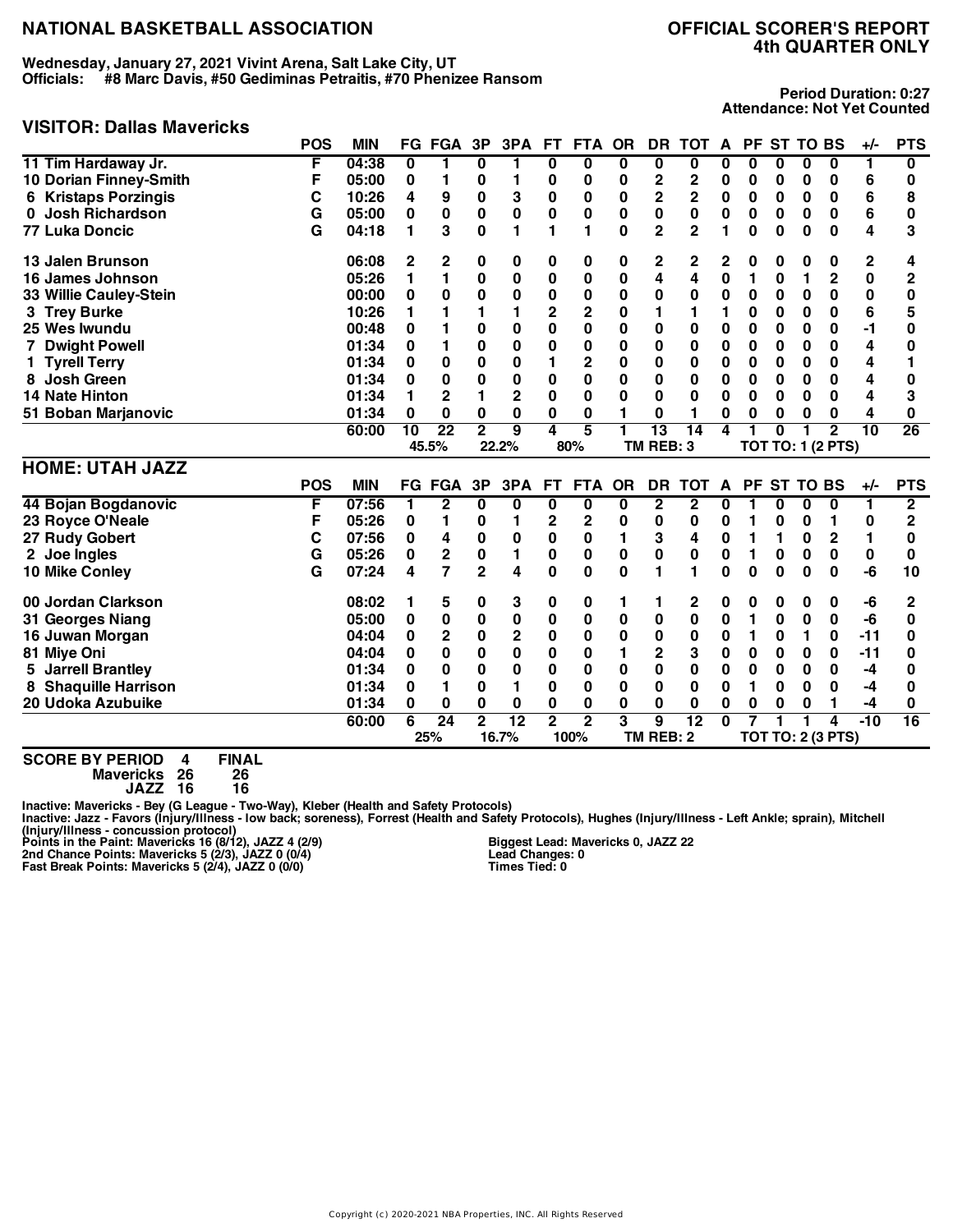**Wednesday, January 27, 2021 Vivint Arena, Salt Lake City, UT Officials: #8 Marc Davis, #50 Gediminas Petraitis, #70 Phenizee Ransom**

# **4th QUARTER ONLY**

**Period Duration: 0:27 Attendance: Not Yet Counted**

### **VISITOR: Dallas Mavericks**

|                                | POS        | <b>MIN</b> | FG              | <b>FGA</b>      | 3P             | 3PA         | FT.                     | <b>FTA</b>   | <b>OR</b> | DR             | <b>TOT</b>      | A         | PF |             |          | <b>ST TO BS</b>          | $+/-$    | <b>PTS</b>     |
|--------------------------------|------------|------------|-----------------|-----------------|----------------|-------------|-------------------------|--------------|-----------|----------------|-----------------|-----------|----|-------------|----------|--------------------------|----------|----------------|
| 11 Tim Hardaway Jr.            | F          | 04:38      | 0               | 1               | 0              | п           | 0                       | 0            | 0         | 0              | $\bf{0}$        | 0         | 0  | 0           | 0        | 0                        | 1        | 0              |
| 10 Dorian Finney-Smith         | F          | 05:00      | 0               |                 | 0              |             | 0                       | 0            | 0         | 2              | 2               | 0         | 0  | 0           | 0        | 0                        | 6        | 0              |
| <b>Kristaps Porzingis</b><br>6 | С          | 10:26      | 4               | 9               | $\pmb{0}$      | 3           | $\pmb{0}$               | 0            | 0         | 2              | $\mathbf 2$     | 0         | 0  | $\bf{0}$    | 0        | 0                        | 6        | 8              |
| Josh Richardson                | G          | 05:00      | 0               | $\pmb{0}$       | $\pmb{0}$      | $\pmb{0}$   | 0                       | 0            | 0         | 0              | $\bf{0}$        | 0         | 0  | 0           | 0        | 0                        | 6        | 0              |
| <b>77 Luka Doncic</b>          | G          | 04:18      | 1               | 3               | $\Omega$       | 1           | 1                       | 1            | $\Omega$  | $\overline{2}$ | $\overline{2}$  |           | O  | 0           | $\bf{0}$ | $\bf{0}$                 | 4        | 3              |
| 13 Jalen Brunson               |            | 06:08      | 2               | 2               | 0              | 0           | 0                       | 0            | 0         | 2              | 2               | 2         | 0  | 0           | 0        | 0                        | 2        | 4              |
| 16 James Johnson               |            | 05:26      | 1               | 1               | 0              | 0           | 0                       | $\bf{0}$     | $\pmb{0}$ | 4              | 4               | 0         | 1  | 0           | 1        | $\mathbf{2}$             | $\bf{0}$ | $\overline{2}$ |
| 33 Willie Cauley-Stein         |            | 00:00      | 0               | 0               | 0              | 0           | 0                       | 0            | 0         | 0              | 0               | 0         | 0  | 0           | 0        | 0                        | 0        | 0              |
| 3 Trey Burke                   |            | 10:26      |                 |                 |                | 1           | $\overline{\mathbf{c}}$ | $\mathbf 2$  | 0         |                |                 |           | 0  | 0           | 0        | 0                        | 6        | 5              |
| 25 Wes Iwundu                  |            | 00:48      | 0               |                 | 0              | 0           | 0                       | $\bf{0}$     | 0         | 0              | 0               | 0         | 0  | 0           | 0        | 0                        | -1       | 0              |
| 7 Dwight Powell                |            | 01:34      | 0               |                 | 0              | $\bf{0}$    | 0                       | 0            | 0         | 0              | 0               | 0         | 0  | 0           | 0        | 0                        | 4        | O              |
| <b>Tyrell Terry</b>            |            | 01:34      | 0               | 0               | $\bf{0}$       | 0           | 1                       | $\mathbf{2}$ | 0         | 0              | $\bf{0}$        | 0         | 0  | 0           | 0        | 0                        | 4        |                |
| <b>Josh Green</b>              |            | 01:34      | 0               | 0               | 0              | $\bf{0}$    | 0                       | 0            | 0         | 0              | 0               | 0         | 0  | 0           | 0        | 0                        | 4        | 0              |
| <b>14 Nate Hinton</b>          |            | 01:34      |                 | $\mathbf 2$     |                | $\mathbf 2$ | 0                       | 0            | 0         | 0              | $\bf{0}$        | 0         | 0  | 0           | 0        | 0                        | 4        | 3              |
| 51 Boban Marjanovic            |            | 01:34      | 0               | 0               | 0              | 0           | 0                       | 0            |           | 0              |                 | 0         | 0  | 0           | 0        | 0                        | 4        | 0              |
|                                |            | 60:00      | $\overline{10}$ | $\overline{22}$ | $\overline{2}$ | 9           | 4                       | 5            | 1         | 13             | $\overline{14}$ | 4         |    | O           |          | $\mathbf{2}$             | 10       | 26             |
|                                |            |            |                 | 45.5%           |                | 22.2%       |                         | 80%          |           | TM REB: 3      |                 |           |    |             |          | <b>TOT TO: 1 (2 PTS)</b> |          |                |
| <b>HOME: UTAH JAZZ</b>         |            |            |                 |                 |                |             |                         |              |           |                |                 |           |    |             |          |                          |          |                |
|                                | <b>POS</b> | <b>MIN</b> |                 | <b>FG FGA</b>   | 3P             | 3PA         | FT.                     | <b>FTA</b>   | <b>OR</b> | DR             | <b>TOT</b>      | A         |    | PF ST TO BS |          |                          | +/-      | <b>PTS</b>     |
| 44 Bojan Bogdanovic            | F          | 07:56      |                 | 2               | 0              | 0           | 0                       | 0            | 0         | 2              | 2               | 0         |    | 0           | 0        | 0                        |          | 2              |
| 23 Royce O'Neale               | F          | 05:26      | 0               | 1               | 0              |             | $\overline{\mathbf{c}}$ | $\mathbf 2$  | 0         | 0              | 0               | 0         | 1  | 0           | 0        |                          | 0        | $\overline{2}$ |
| 27 Rudy Gobert                 | С          | 07:56      | 0               | 4               | $\pmb{0}$      | 0           | 0                       | 0            |           | 3              | 4               | $\pmb{0}$ | 1  | 1           | 0        | $\mathbf 2$              | 1        | 0              |
| 2 Joe Ingles                   | G          | 05:26      | 0               | $\mathbf 2$     | $\pmb{0}$      | 1           | $\mathbf 0$             | 0            | 0         | 0              | $\mathbf 0$     | 0         | 1  | 0           | 0        | 0                        | 0        | $\bf{0}$       |
| 10 Mike Conley                 | G          | 07:24      | 4               | $\overline{7}$  | $\overline{2}$ | 4           | 0                       | 0            | 0         |                |                 | 0         | 0  | $\bf{0}$    | 0        | 0                        | -6       | 10             |
| 00 Jordan Clarkson             |            | 08:02      |                 | 5               | 0              | 3           | 0                       | 0            |           |                | 2               | 0         | 0  | 0           | 0        | 0                        | -6       | 2              |
| 31 Georges Niang               |            | 05:00      | 0               | 0               | $\pmb{0}$      | 0           | 0                       | 0            | 0         | 0              | $\mathbf 0$     | 0         | 1  | 0           | 0        | 0                        | -6       | 0              |
| 16 Juwan Morgan                |            | 04:04      | 0               | $\mathbf 2$     | $\pmb{0}$      | $\mathbf 2$ | 0                       | $\bf{0}$     | 0         | $\pmb{0}$      | 0               | 0         | 1  | 0           | 1        | 0                        | $-11$    | 0              |
| 81 Miye Oni                    |            | 04:04      | 0               | 0               | 0              | $\mathbf 0$ | 0                       | $\bf{0}$     |           | $\overline{2}$ | 3               | 0         | 0  | 0           | 0        | 0                        | $-11$    | O              |

**5 Jarrell Brantley 01:34 0 0 0 0 0 0 0 0 0 0 0 0 0 0 -4 0 8 Shaquille Harrison 01:34 0 1 0 1 0 0 0 0 0 0 1 0 0 0 -4 0 20 Udoka Azubuike 01:34 0 0 0 0 0 0 0 0 0 0 0 0 0 1 -4 0 60:00 6 24 2 12 2 2 3 9 12 0 7 1 1 4 -10 16 25% 16.7% 100% TM REB: 2 TOT TO: 2 (3 PTS)**

**SCORE BY PERIOD 4 FINAL**

**Mavericks 26 26 JAZZ 16 16**

Inactive: Mavericks - Bey (G League - Two-Way), Kleber (Health and Safety Protocols)<br>Inactive: Jazz - Favors (Injury/Illness - Iow back; soreness), Forrest (Health and Safety Protocols), Hughes (Injury/Illness - Left Ankle

**Biggest Lead: Mavericks 0, JAZZ 22 Lead Changes: 0 Times Tied: 0**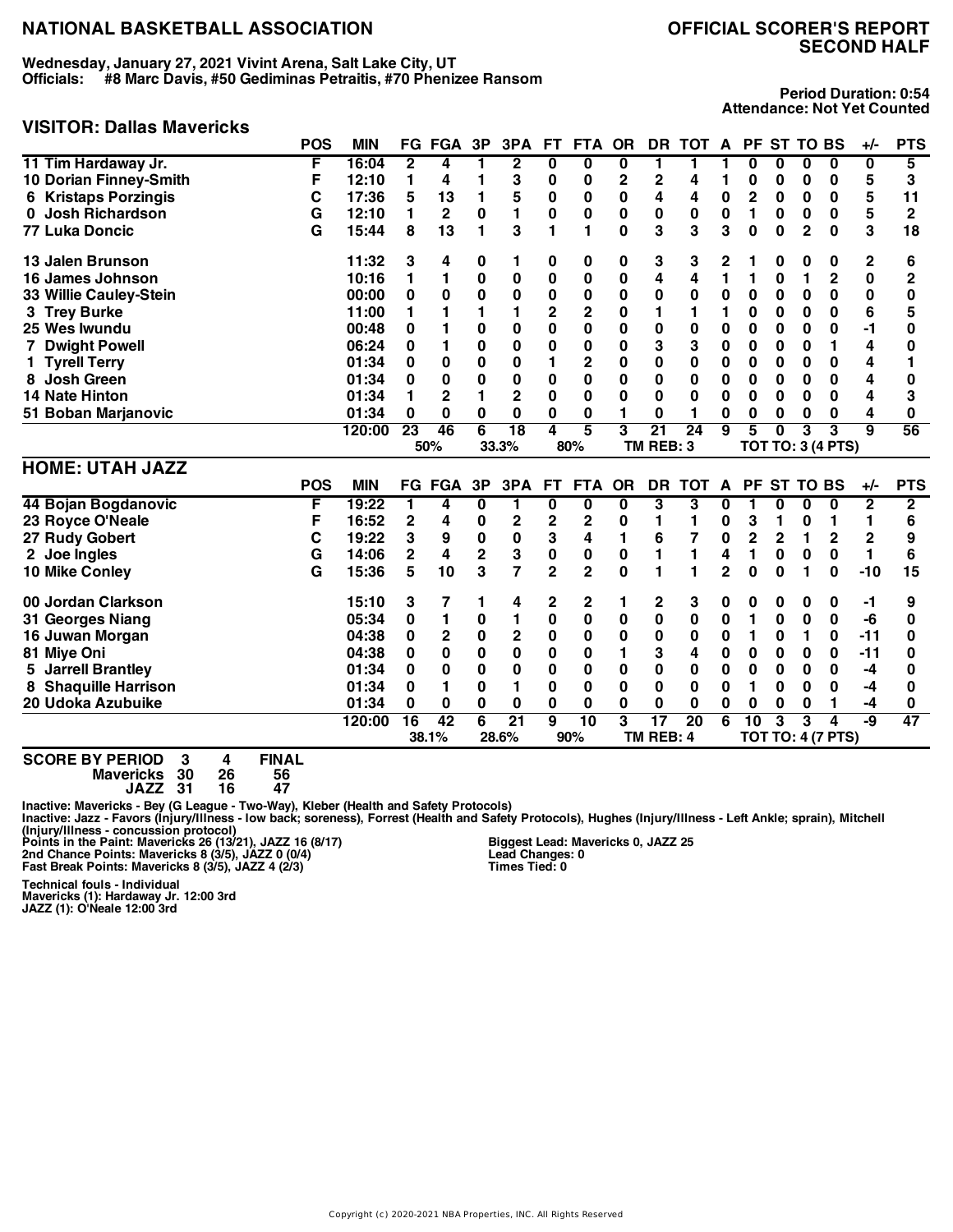**Wednesday, January 27, 2021 Vivint Arena, Salt Lake City, UT Officials: #8 Marc Davis, #50 Gediminas Petraitis, #70 Phenizee Ransom**

# **SECOND HALF**

#### **Period Duration: 0:54 Attendance: Not Yet Counted**

### **VISITOR: Dallas Mavericks**

|                         | <b>POS</b> | <b>MIN</b> | FG           | FGA           | 3P | 3PA         | FТ  | FTA        | <b>OR</b> | DR.       | тот | A | PF. |          |              | <b>ST TO BS</b>          | $+/-$ | <b>PTS</b> |
|-------------------------|------------|------------|--------------|---------------|----|-------------|-----|------------|-----------|-----------|-----|---|-----|----------|--------------|--------------------------|-------|------------|
| 11 Tim Hardaway Jr.     | F          | 16:04      | $\mathbf{2}$ | 4             |    | $\mathbf 2$ | 0   | 0          | 0         |           |     |   |     |          | 0            | 0                        | 0     | 5          |
| 10 Dorian Finney-Smith  |            | 12:10      |              | 4             |    | 3           | 0   | 0          | 2         |           |     |   |     |          | 0            | 0                        | 5     | 3          |
| 6 Kristaps Porzingis    | С          | 17:36      | 5            | 13            |    | 5           | 0   | 0          | 0         | 4         | 4   | 0 | 2   | 0        | 0            | 0                        | 5     | 11         |
| 0 Josh Richardson       | G          | 12:10      |              | $\mathbf{2}$  | 0  |             | 0   | 0          | 0         | 0         | 0   | 0 |     | 0        | 0            | 0                        | 5     | 2          |
| 77 Luka Doncic          | G          | 15:44      | 8            | 13            |    | 3           |     |            | 0         | 3         | 3   | 3 | 0   | $\bf{0}$ | $\mathbf{2}$ | $\bf{0}$                 | 3     | 18         |
| 13 Jalen Brunson        |            | 11:32      | 3            | 4             | 0  |             | 0   | 0          | 0         | 3         | 3   | 2 |     | O        | O            | 0                        | 2     | 6          |
| 16 James Johnson        |            | 10:16      |              |               | 0  | 0           | 0   | 0          | 0         | 4         |     |   |     | 0        |              | 2                        | 0     |            |
| 33 Willie Cauley-Stein  |            | 00:00      | 0            | 0             | 0  | 0           | 0   | 0          | 0         | 0         | 0   | 0 | 0   | 0        | 0            | 0                        | 0     |            |
| 3 Trey Burke            |            | 11:00      |              |               |    |             | 2   | 2          | 0         |           |     |   | O   | O        | 0            | 0                        | 6     | 5          |
| 25 Wes Iwundu           |            | 00:48      | 0            |               | 0  | 0           | 0   | 0          | 0         | 0         | 0   | 0 | 0   | 0        | 0            | 0                        | -1    |            |
| 7 Dwight Powell         |            | 06:24      | 0            |               | 0  | 0           | 0   | 0          | 0         | 3         | 3   | 0 | 0   | 0        | 0            |                          | 4     |            |
| 1 Tyrell Terry          |            | 01:34      | 0            | 0             | 0  | 0           |     | 2          | 0         | 0         | 0   | 0 | 0   | 0        | 0            | 0                        | 4     |            |
| <b>Josh Green</b><br>8. |            | 01:34      | 0            | 0             | 0  | 0           | 0   | 0          | 0         | 0         | 0   | 0 | 0   | 0        | 0            | 0                        | 4     |            |
| 14 Nate Hinton          |            | 01:34      |              | 2             |    | 2           | 0   | 0          | 0         | 0         | 0   | 0 | 0   | 0        | 0            | 0                        | 4     | 3          |
| 51 Boban Marjanovic     |            | 01:34      | 0            | 0             | 0  | 0           | 0   | 0          |           | 0         |     | O | 0   | 0        | 0            | 0                        | 4     | O          |
|                         |            | 120:00     | 23           | 46            | 6  | 18          | 4   | 5          | 3         | 21        | 24  | 9 | 5   | 0        | 3            | 3                        | 9     | 56         |
|                         |            |            |              | 50%           |    | 33.3%       |     | 80%        |           | TM REB: 3 |     |   |     |          |              | <b>TOT TO: 3 (4 PTS)</b> |       |            |
| <b>HOME: UTAH JAZZ</b>  |            |            |              |               |    |             |     |            |           |           |     |   |     |          |              |                          |       |            |
|                         | <b>POS</b> | <b>MIN</b> |              | <b>FG FGA</b> | 3P | 3PA         | FT. | <b>FTA</b> | OR        | DR.       | тот | A | PF. |          |              | ST TO BS                 | $+/-$ | <b>PTS</b> |
| 44 Bojan Bogdanovic     | F          | 19:22      |              | 4             | 0  |             | 0   | 0          | 0         | 3         | з   | O |     | 0        | 0            | 0                        | 2     | 2          |
| 23 Royce O'Neale        | F          | 16:52      | 2            | 4             | 0  | 2           | 2   | 2          |           |           |     |   | 3   |          | 0            |                          |       | 6          |
| 27 Rudy Gobert          | С          | 19:22      | 3            | 9             | 0  | 0           | 3   | 4          |           | 6         |     | 0 | 2   |          |              |                          |       | 9          |

 **Joe Ingles G 14:06 2 4 2 3 0 0 0 1 1 4 1 0 0 0 1 6 Mike Conley G 15:36 5 10 3 7 2 2 0 1 1 2 0 0 1 0 -10 15 Jordan Clarkson 15:10 3 7 1 4 2 2 1 2 3 0 0 0 0 0 -1 9 Georges Niang 05:34 0 1 0 1 0 0 0 0 0 0 1 0 0 0 -6 0 Juwan Morgan 04:38 0 2 0 2 0 0 0 0 0 0 1 0 1 0 -11 0 Miye Oni 04:38 0 0 0 0 0 0 1 3 4 0 0 0 0 0 -11 0 Jarrell Brantley 01:34 0 0 0 0 0 0 0 0 0 0 0 0 0 0 -4 0 Shaquille Harrison 01:34 0 1 0 1 0 0 0 0 0 0 1 0 0 0 -4 0 Udoka Azubuike 01:34 0 0 0 0 0 0 0 0 0 0 0 0 0 1 -4 0**

**SCORE BY PERIOD 3 4 FINAL Mavericks 30 26 56 JAZZ 31 16 47**

Inactive: Mavericks - Bey (G League - Two-Way), Kleber (Health and Safety Protocols)<br>Inactive: Jazz - Favors (Injury/Illness - Iow back; soreness), Forrest (Health and Safety Protocols), Hughes (Injury/Illness - Left Ankle

**Biggest Lead: Mavericks 0, JAZZ 25 Lead Changes: 0 Times Tied: 0**

**120:00 16 42 6 21 9 10 3 17 20 6 10 3 3 4 -9 47 38.1% 28.6% 90% TM REB: 4 TOT TO: 4 (7 PTS)**

**Technical fouls - Individual Mavericks (1): Hardaway Jr. 12:00 3rd JAZZ (1): O'Neale 12:00 3rd**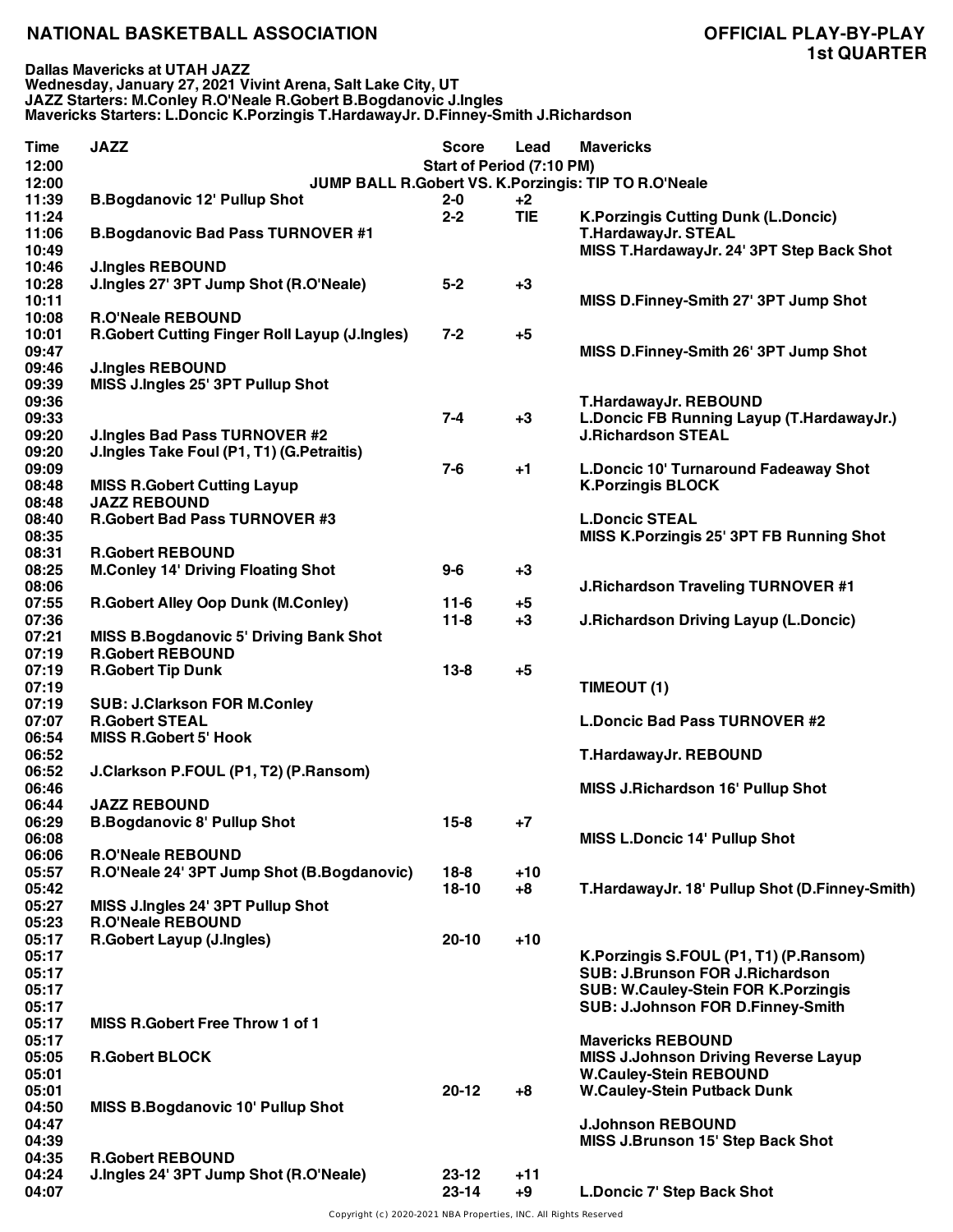**Dallas Mavericks at UTAH JAZZ Wednesday, January 27, 2021 Vivint Arena, Salt Lake City, UT JAZZ Starters: M.Conley R.O'Neale R.Gobert B.Bogdanovic J.Ingles Mavericks Starters: L.Doncic K.Porzingis T.HardawayJr. D.Finney-Smith J.Richardson**

| <b>Time</b><br>12:00<br>12:00 | <b>JAZZ</b>                                                                       | <b>Score</b><br>Start of Period (7:10 PM) | Lead       | <b>Mavericks</b><br>JUMP BALL R.Gobert VS. K.Porzingis: TIP TO R.O'Neale            |
|-------------------------------|-----------------------------------------------------------------------------------|-------------------------------------------|------------|-------------------------------------------------------------------------------------|
| 11:39                         | <b>B.Bogdanovic 12' Pullup Shot</b>                                               | $2 - 0$                                   | $+2$       |                                                                                     |
| 11:24<br>11:06                | <b>B.Bogdanovic Bad Pass TURNOVER #1</b>                                          | $2 - 2$                                   | <b>TIE</b> | <b>K.Porzingis Cutting Dunk (L.Doncic)</b><br><b>T.HardawayJr. STEAL</b>            |
| 10:49                         |                                                                                   |                                           |            | MISS T.HardawayJr. 24' 3PT Step Back Shot                                           |
| 10:46                         | <b>J.Ingles REBOUND</b>                                                           |                                           |            |                                                                                     |
| 10:28<br>10:11                | J.Ingles 27' 3PT Jump Shot (R.O'Neale)                                            | $5-2$                                     | $+3$       | MISS D.Finney-Smith 27' 3PT Jump Shot                                               |
| 10:08                         | <b>R.O'Neale REBOUND</b>                                                          |                                           |            |                                                                                     |
| 10:01                         | <b>R.Gobert Cutting Finger Roll Layup (J.Ingles)</b>                              | $7 - 2$                                   | $+5$       |                                                                                     |
| 09:47                         |                                                                                   |                                           |            | MISS D.Finney-Smith 26' 3PT Jump Shot                                               |
| 09:46                         | <b>J.Ingles REBOUND</b>                                                           |                                           |            |                                                                                     |
| 09:39                         | MISS J.Ingles 25' 3PT Pullup Shot                                                 |                                           |            |                                                                                     |
| 09:36                         |                                                                                   |                                           |            | T.HardawayJr. REBOUND                                                               |
| 09:33<br>09:20                |                                                                                   | $7 - 4$                                   | $+3$       | L.Doncic FB Running Layup (T.HardawayJr.)<br><b>J.Richardson STEAL</b>              |
| 09:20                         | <b>J.Ingles Bad Pass TURNOVER #2</b><br>J.Ingles Take Foul (P1, T1) (G.Petraitis) |                                           |            |                                                                                     |
| 09:09                         |                                                                                   | $7-6$                                     | $+1$       | L.Doncic 10' Turnaround Fadeaway Shot                                               |
| 08:48                         | <b>MISS R.Gobert Cutting Layup</b>                                                |                                           |            | <b>K.Porzingis BLOCK</b>                                                            |
| 08:48                         | <b>JAZZ REBOUND</b>                                                               |                                           |            |                                                                                     |
| 08:40                         | <b>R.Gobert Bad Pass TURNOVER #3</b>                                              |                                           |            | <b>L.Doncic STEAL</b>                                                               |
| 08:35                         |                                                                                   |                                           |            | MISS K.Porzingis 25' 3PT FB Running Shot                                            |
| 08:31                         | <b>R.Gobert REBOUND</b>                                                           |                                           |            |                                                                                     |
| 08:25                         | <b>M.Conley 14' Driving Floating Shot</b>                                         | $9-6$                                     | $+3$       |                                                                                     |
| 08:06                         |                                                                                   |                                           |            | <b>J.Richardson Traveling TURNOVER #1</b>                                           |
| 07:55                         | <b>R.Gobert Alley Oop Dunk (M.Conley)</b>                                         | $11-6$                                    | $+5$       |                                                                                     |
| 07:36<br>07:21                | <b>MISS B.Bogdanovic 5' Driving Bank Shot</b>                                     | $11 - 8$                                  | $+3$       | <b>J.Richardson Driving Layup (L.Doncic)</b>                                        |
| 07:19                         | <b>R.Gobert REBOUND</b>                                                           |                                           |            |                                                                                     |
| 07:19                         | <b>R.Gobert Tip Dunk</b>                                                          | $13 - 8$                                  | $+5$       |                                                                                     |
| 07:19                         |                                                                                   |                                           |            | TIMEOUT (1)                                                                         |
| 07:19                         | <b>SUB: J.Clarkson FOR M.Conley</b>                                               |                                           |            |                                                                                     |
| 07:07                         | <b>R.Gobert STEAL</b>                                                             |                                           |            | <b>L.Doncic Bad Pass TURNOVER #2</b>                                                |
| 06:54                         | <b>MISS R.Gobert 5' Hook</b>                                                      |                                           |            |                                                                                     |
| 06:52                         |                                                                                   |                                           |            | T.HardawayJr. REBOUND                                                               |
| 06:52<br>06:46                | J.Clarkson P.FOUL (P1, T2) (P.Ransom)                                             |                                           |            |                                                                                     |
| 06:44                         | <b>JAZZ REBOUND</b>                                                               |                                           |            | <b>MISS J.Richardson 16' Pullup Shot</b>                                            |
| 06:29                         | <b>B.Bogdanovic 8' Pullup Shot</b>                                                | $15 - 8$                                  | $+7$       |                                                                                     |
| 06:08                         |                                                                                   |                                           |            | <b>MISS L.Doncic 14' Pullup Shot</b>                                                |
| 06:06                         | <b>R.O'Neale REBOUND</b>                                                          |                                           |            |                                                                                     |
| 05:57                         | R.O'Neale 24' 3PT Jump Shot (B.Bogdanovic)                                        | $18-8$                                    | $+10$      |                                                                                     |
| 05:42                         |                                                                                   | $18-10$                                   | $+8$       | T.HardawayJr. 18' Pullup Shot (D.Finney-Smith)                                      |
| 05:27                         | MISS J.Ingles 24' 3PT Pullup Shot                                                 |                                           |            |                                                                                     |
| 05:23                         | <b>R.O'Neale REBOUND</b>                                                          |                                           |            |                                                                                     |
| 05:17                         | <b>R.Gobert Layup (J.Ingles)</b>                                                  | $20 - 10$                                 | $+10$      |                                                                                     |
| 05:17<br>05:17                |                                                                                   |                                           |            | K. Porzingis S. FOUL (P1, T1) (P. Ransom)<br><b>SUB: J.Brunson FOR J.Richardson</b> |
| 05:17                         |                                                                                   |                                           |            | <b>SUB: W.Cauley-Stein FOR K.Porzingis</b>                                          |
| 05:17                         |                                                                                   |                                           |            | SUB: J.Johnson FOR D.Finney-Smith                                                   |
| 05:17                         | <b>MISS R.Gobert Free Throw 1 of 1</b>                                            |                                           |            |                                                                                     |
| 05:17                         |                                                                                   |                                           |            | <b>Mavericks REBOUND</b>                                                            |
| 05:05                         | <b>R.Gobert BLOCK</b>                                                             |                                           |            | <b>MISS J.Johnson Driving Reverse Layup</b>                                         |
| 05:01                         |                                                                                   |                                           |            | <b>W.Cauley-Stein REBOUND</b>                                                       |
| 05:01                         |                                                                                   | $20 - 12$                                 | $+8$       | <b>W.Cauley-Stein Putback Dunk</b>                                                  |
| 04:50                         | <b>MISS B.Bogdanovic 10' Pullup Shot</b>                                          |                                           |            |                                                                                     |
| 04:47                         |                                                                                   |                                           |            | <b>J.Johnson REBOUND</b>                                                            |
| 04:39<br>04:35                | <b>R.Gobert REBOUND</b>                                                           |                                           |            | <b>MISS J.Brunson 15' Step Back Shot</b>                                            |
| 04:24                         | J.Ingles 24' 3PT Jump Shot (R.O'Neale)                                            | $23 - 12$                                 | $+11$      |                                                                                     |
| 04:07                         |                                                                                   | $23 - 14$                                 | $+9$       | <b>L.Doncic 7' Step Back Shot</b>                                                   |
|                               |                                                                                   |                                           |            |                                                                                     |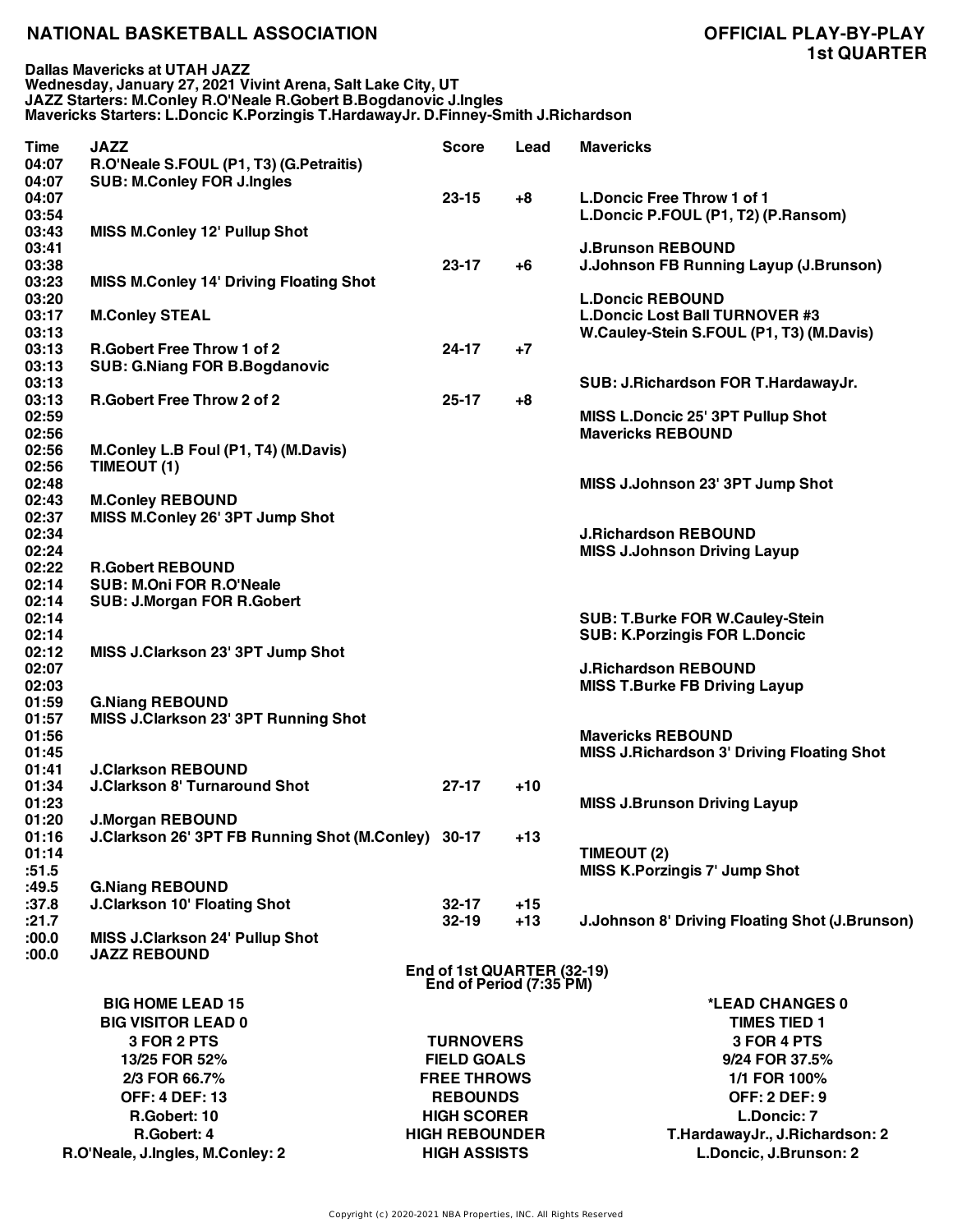**Dallas Mavericks at UTAH JAZZ Wednesday, January 27, 2021 Vivint Arena, Salt Lake City, UT JAZZ Starters: M.Conley R.O'Neale R.Gobert B.Bogdanovic J.Ingles Mavericks Starters: L.Doncic K.Porzingis T.HardawayJr. D.Finney-Smith J.Richardson**

| Time           | <b>JAZZ</b>                                         | <b>Score</b>                                          | Lead  | <b>Mavericks</b>                                      |
|----------------|-----------------------------------------------------|-------------------------------------------------------|-------|-------------------------------------------------------|
| 04:07          | R.O'Neale S.FOUL (P1, T3) (G.Petraitis)             |                                                       |       |                                                       |
| 04:07<br>04:07 | <b>SUB: M.Conley FOR J.Ingles</b>                   | $23 - 15$                                             | $+8$  | L.Doncic Free Throw 1 of 1                            |
| 03:54          |                                                     |                                                       |       | L.Doncic P.FOUL (P1, T2) (P.Ransom)                   |
| 03:43          | <b>MISS M.Conley 12' Pullup Shot</b>                |                                                       |       |                                                       |
| 03:41          |                                                     |                                                       |       | <b>J.Brunson REBOUND</b>                              |
| 03:38          |                                                     | $23 - 17$                                             | +6    | J.Johnson FB Running Layup (J.Brunson)                |
| 03:23          | <b>MISS M.Conley 14' Driving Floating Shot</b>      |                                                       |       |                                                       |
| 03:20          |                                                     |                                                       |       | <b>L.Doncic REBOUND</b>                               |
| 03:17          | <b>M.Conley STEAL</b>                               |                                                       |       | <b>L.Doncic Lost Ball TURNOVER #3</b>                 |
| 03:13          |                                                     |                                                       |       | W.Cauley-Stein S.FOUL (P1, T3) (M.Davis)              |
| 03:13          | <b>R.Gobert Free Throw 1 of 2</b>                   | $24 - 17$                                             | $+7$  |                                                       |
| 03:13          | <b>SUB: G.Niang FOR B.Bogdanovic</b>                |                                                       |       |                                                       |
| 03:13<br>03:13 | <b>R.Gobert Free Throw 2 of 2</b>                   | $25 - 17$                                             | $+8$  | SUB: J.Richardson FOR T.HardawayJr.                   |
| 02:59          |                                                     |                                                       |       | MISS L.Doncic 25' 3PT Pullup Shot                     |
| 02:56          |                                                     |                                                       |       | <b>Mavericks REBOUND</b>                              |
| 02:56          | M.Conley L.B Foul (P1, T4) (M.Davis)                |                                                       |       |                                                       |
| 02:56          | TIMEOUT (1)                                         |                                                       |       |                                                       |
| 02:48          |                                                     |                                                       |       | MISS J.Johnson 23' 3PT Jump Shot                      |
| 02:43          | <b>M.Conley REBOUND</b>                             |                                                       |       |                                                       |
| 02:37          | MISS M.Conley 26' 3PT Jump Shot                     |                                                       |       |                                                       |
| 02:34          |                                                     |                                                       |       | <b>J.Richardson REBOUND</b>                           |
| 02:24          |                                                     |                                                       |       | <b>MISS J.Johnson Driving Layup</b>                   |
| 02:22          | <b>R.Gobert REBOUND</b>                             |                                                       |       |                                                       |
| 02:14          | <b>SUB: M.Oni FOR R.O'Neale</b>                     |                                                       |       |                                                       |
| 02:14          | <b>SUB: J.Morgan FOR R.Gobert</b>                   |                                                       |       |                                                       |
| 02:14          |                                                     |                                                       |       | <b>SUB: T.Burke FOR W.Cauley-Stein</b>                |
| 02:14          |                                                     |                                                       |       | <b>SUB: K.Porzingis FOR L.Doncic</b>                  |
| 02:12          | MISS J.Clarkson 23' 3PT Jump Shot                   |                                                       |       |                                                       |
| 02:07          |                                                     |                                                       |       | <b>J.Richardson REBOUND</b>                           |
| 02:03<br>01:59 | <b>G.Niang REBOUND</b>                              |                                                       |       | <b>MISS T.Burke FB Driving Layup</b>                  |
| 01:57          | MISS J.Clarkson 23' 3PT Running Shot                |                                                       |       |                                                       |
| 01:56          |                                                     |                                                       |       | <b>Mavericks REBOUND</b>                              |
| 01:45          |                                                     |                                                       |       | <b>MISS J.Richardson 3' Driving Floating Shot</b>     |
| 01:41          | <b>J.Clarkson REBOUND</b>                           |                                                       |       |                                                       |
| 01:34          | <b>J.Clarkson 8' Turnaround Shot</b>                | $27-17$                                               | $+10$ |                                                       |
| 01:23          |                                                     |                                                       |       | <b>MISS J.Brunson Driving Layup</b>                   |
| 01:20          | <b>J.Morgan REBOUND</b>                             |                                                       |       |                                                       |
| 01:16          | J.Clarkson 26' 3PT FB Running Shot (M.Conley) 30-17 |                                                       | $+13$ |                                                       |
| 01:14          |                                                     |                                                       |       | TIMEOUT (2)                                           |
| :51.5          |                                                     |                                                       |       | <b>MISS K.Porzingis 7' Jump Shot</b>                  |
| :49.5          | <b>G.Niang REBOUND</b>                              |                                                       |       |                                                       |
| :37.8          | <b>J.Clarkson 10' Floating Shot</b>                 | $32 - 17$                                             | $+15$ |                                                       |
| :21.7          |                                                     | $32 - 19$                                             | $+13$ | <b>J.Johnson 8' Driving Floating Shot (J.Brunson)</b> |
| :00.0          | MISS J.Clarkson 24' Pullup Shot                     |                                                       |       |                                                       |
| :00.0          | <b>JAZZ REBOUND</b>                                 |                                                       |       |                                                       |
|                |                                                     | End of 1st QUARTER (32-19)<br>End of Period (7:35 PM) |       |                                                       |
|                | <b>BIG HOME LEAD 15</b>                             |                                                       |       | *LEAD CHANGES 0                                       |
|                | <b>BIG VISITOR LEAD 0</b>                           |                                                       |       | <b>TIMES TIED 1</b>                                   |
|                | 3 FOR 2 PTS                                         | <b>TURNOVERS</b>                                      |       | 3 FOR 4 PTS                                           |
|                | 13/25 FOR 52%                                       | <b>FIELD GOALS</b>                                    |       | 9/24 FOR 37.5%                                        |
|                | 2/3 FOR 66.7%                                       | <b>FREE THROWS</b>                                    |       | 1/1 FOR 100%                                          |
|                | <b>OFF: 4 DEF: 13</b>                               | <b>REBOUNDS</b>                                       |       | <b>OFF: 2 DEF: 9</b>                                  |
|                |                                                     |                                                       |       |                                                       |
|                | R.Gobert: 10                                        | <b>HIGH SCORER</b>                                    |       | L.Doncic: 7                                           |
|                | R.Gobert: 4                                         | <b>HIGH REBOUNDER</b>                                 |       | T.HardawayJr., J.Richardson: 2                        |
|                | R.O'Neale, J.Ingles, M.Conley: 2                    | <b>HIGH ASSISTS</b>                                   |       | L.Doncic, J.Brunson: 2                                |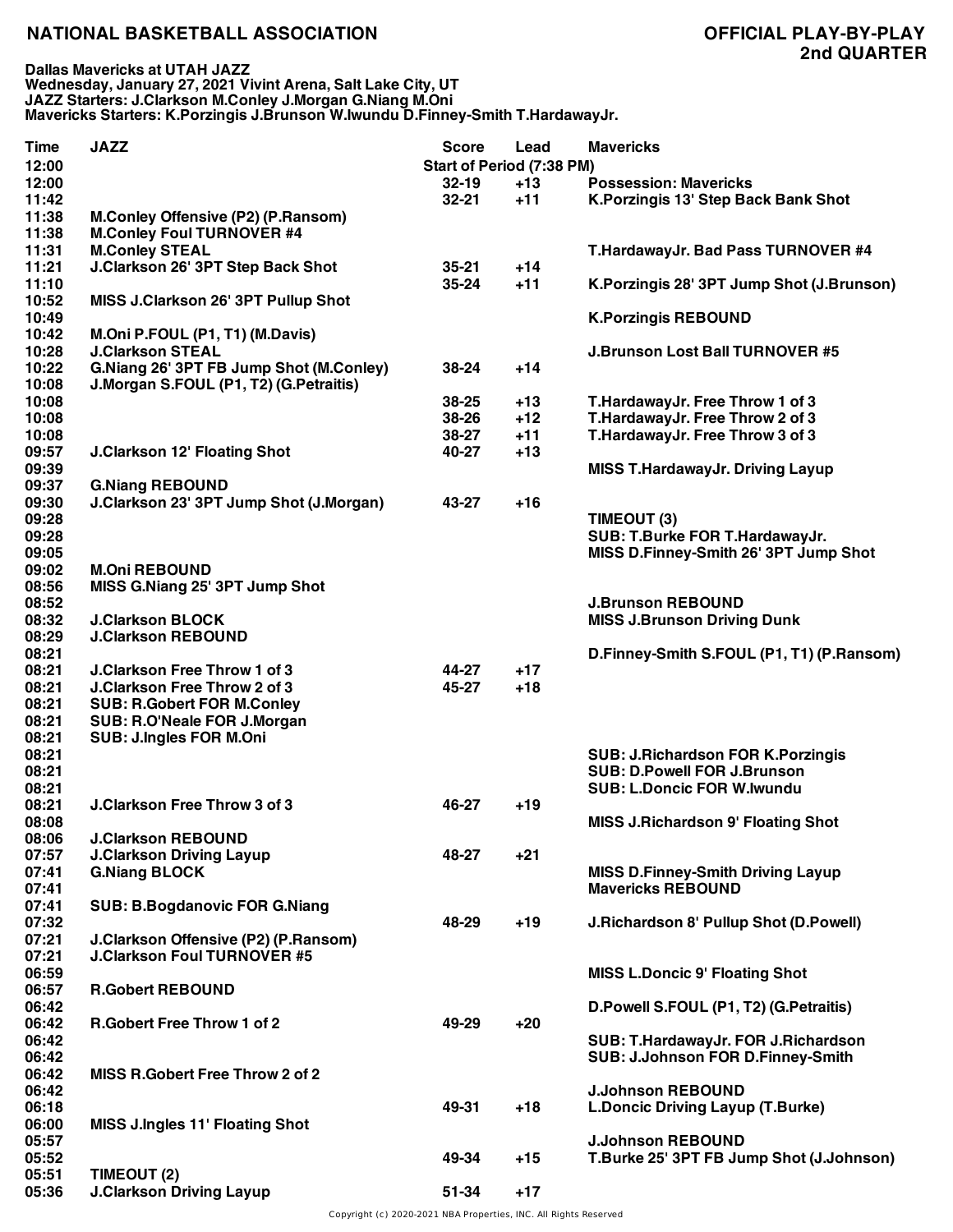**Dallas Mavericks at UTAH JAZZ Wednesday, January 27, 2021 Vivint Arena, Salt Lake City, UT JAZZ Starters: J.Clarkson M.Conley J.Morgan G.Niang M.Oni Mavericks Starters: K.Porzingis J.Brunson W.Iwundu D.Finney-Smith T.HardawayJr.**

| Time  | <b>JAZZ</b>                               | <b>Score</b>              | Lead  | <b>Mavericks</b>                            |
|-------|-------------------------------------------|---------------------------|-------|---------------------------------------------|
| 12:00 |                                           | Start of Period (7:38 PM) |       |                                             |
| 12:00 |                                           | $32 - 19$                 | $+13$ | <b>Possession: Mavericks</b>                |
| 11:42 |                                           | $32 - 21$                 | $+11$ | K. Porzingis 13' Step Back Bank Shot        |
| 11:38 | <b>M.Conley Offensive (P2) (P.Ransom)</b> |                           |       |                                             |
| 11:38 | <b>M.Conley Foul TURNOVER #4</b>          |                           |       |                                             |
| 11:31 | <b>M.Conley STEAL</b>                     |                           |       | T.HardawayJr. Bad Pass TURNOVER #4          |
| 11:21 | J.Clarkson 26' 3PT Step Back Shot         | $35 - 21$                 | $+14$ |                                             |
| 11:10 |                                           | $35 - 24$                 | $+11$ | K. Porzingis 28' 3PT Jump Shot (J. Brunson) |
| 10:52 | MISS J.Clarkson 26' 3PT Pullup Shot       |                           |       |                                             |
| 10:49 |                                           |                           |       | <b>K.Porzingis REBOUND</b>                  |
| 10:42 | M.Oni P.FOUL (P1, T1) (M.Davis)           |                           |       |                                             |
| 10:28 | <b>J.Clarkson STEAL</b>                   |                           |       | <b>J.Brunson Lost Ball TURNOVER #5</b>      |
| 10:22 | G.Niang 26' 3PT FB Jump Shot (M.Conley)   | 38-24                     | $+14$ |                                             |
| 10:08 | J.Morgan S.FOUL (P1, T2) (G.Petraitis)    |                           |       |                                             |
| 10:08 |                                           | $38 - 25$                 | $+13$ | T.HardawayJr. Free Throw 1 of 3             |
| 10:08 |                                           | 38-26                     | $+12$ | T.HardawayJr. Free Throw 2 of 3             |
| 10:08 |                                           | 38-27                     | $+11$ | T.HardawayJr. Free Throw 3 of 3             |
| 09:57 | <b>J.Clarkson 12' Floating Shot</b>       | 40-27                     | $+13$ |                                             |
| 09:39 |                                           |                           |       | <b>MISS T.HardawayJr. Driving Layup</b>     |
| 09:37 | <b>G.Niang REBOUND</b>                    |                           |       |                                             |
| 09:30 | J.Clarkson 23' 3PT Jump Shot (J.Morgan)   | 43-27                     | $+16$ |                                             |
| 09:28 |                                           |                           |       | TIMEOUT (3)                                 |
| 09:28 |                                           |                           |       | SUB: T.Burke FOR T.HardawayJr.              |
| 09:05 |                                           |                           |       | MISS D.Finney-Smith 26' 3PT Jump Shot       |
| 09:02 | <b>M.Oni REBOUND</b>                      |                           |       |                                             |
| 08:56 | MISS G.Niang 25' 3PT Jump Shot            |                           |       |                                             |
| 08:52 |                                           |                           |       | <b>J.Brunson REBOUND</b>                    |
| 08:32 | <b>J.Clarkson BLOCK</b>                   |                           |       | <b>MISS J.Brunson Driving Dunk</b>          |
| 08:29 | <b>J.Clarkson REBOUND</b>                 |                           |       |                                             |
| 08:21 |                                           |                           |       | D.Finney-Smith S.FOUL (P1, T1) (P.Ransom)   |
| 08:21 | <b>J.Clarkson Free Throw 1 of 3</b>       | 44-27                     | $+17$ |                                             |
| 08:21 | <b>J.Clarkson Free Throw 2 of 3</b>       | 45-27                     | $+18$ |                                             |
| 08:21 | <b>SUB: R.Gobert FOR M.Conley</b>         |                           |       |                                             |
| 08:21 | SUB: R.O'Neale FOR J.Morgan               |                           |       |                                             |
| 08:21 | SUB: J.Ingles FOR M.Oni                   |                           |       |                                             |
| 08:21 |                                           |                           |       | <b>SUB: J.Richardson FOR K.Porzingis</b>    |
| 08:21 |                                           |                           |       | <b>SUB: D.Powell FOR J.Brunson</b>          |
| 08:21 |                                           |                           |       | <b>SUB: L.Doncic FOR W.Iwundu</b>           |
| 08:21 | <b>J.Clarkson Free Throw 3 of 3</b>       | 46-27                     | $+19$ |                                             |
| 08:08 |                                           |                           |       | <b>MISS J.Richardson 9' Floating Shot</b>   |
| 08:06 | <b>J.Clarkson REBOUND</b>                 |                           |       |                                             |
| 07:57 | <b>J.Clarkson Driving Layup</b>           | 48-27                     | $+21$ |                                             |
| 07:41 | <b>G.Niang BLOCK</b>                      |                           |       | <b>MISS D.Finney-Smith Driving Layup</b>    |
| 07:41 |                                           |                           |       | <b>Mavericks REBOUND</b>                    |
| 07:41 | <b>SUB: B.Bogdanovic FOR G.Niang</b>      |                           |       |                                             |
| 07:32 |                                           | 48-29                     | $+19$ | J.Richardson 8' Pullup Shot (D.Powell)      |
| 07:21 | J.Clarkson Offensive (P2) (P.Ransom)      |                           |       |                                             |
| 07:21 | <b>J.Clarkson Foul TURNOVER #5</b>        |                           |       |                                             |
| 06:59 |                                           |                           |       | <b>MISS L.Doncic 9' Floating Shot</b>       |
| 06:57 | <b>R.Gobert REBOUND</b>                   |                           |       |                                             |
| 06:42 |                                           |                           |       | D.Powell S.FOUL (P1, T2) (G.Petraitis)      |
| 06:42 | <b>R.Gobert Free Throw 1 of 2</b>         | 49-29                     | $+20$ |                                             |
| 06:42 |                                           |                           |       | SUB: T.HardawayJr. FOR J.Richardson         |
| 06:42 |                                           |                           |       | SUB: J.Johnson FOR D.Finney-Smith           |
| 06:42 | MISS R.Gobert Free Throw 2 of 2           |                           |       |                                             |
| 06:42 |                                           |                           |       | <b>J.Johnson REBOUND</b>                    |
| 06:18 |                                           | 49-31                     | $+18$ | <b>L.Doncic Driving Layup (T.Burke)</b>     |
| 06:00 | <b>MISS J.Ingles 11' Floating Shot</b>    |                           |       |                                             |
| 05:57 |                                           |                           |       | <b>J.Johnson REBOUND</b>                    |
| 05:52 |                                           | 49-34                     | $+15$ | T.Burke 25' 3PT FB Jump Shot (J.Johnson)    |
| 05:51 | TIMEOUT (2)                               |                           |       |                                             |
| 05:36 | <b>J.Clarkson Driving Layup</b>           | 51-34                     | $+17$ |                                             |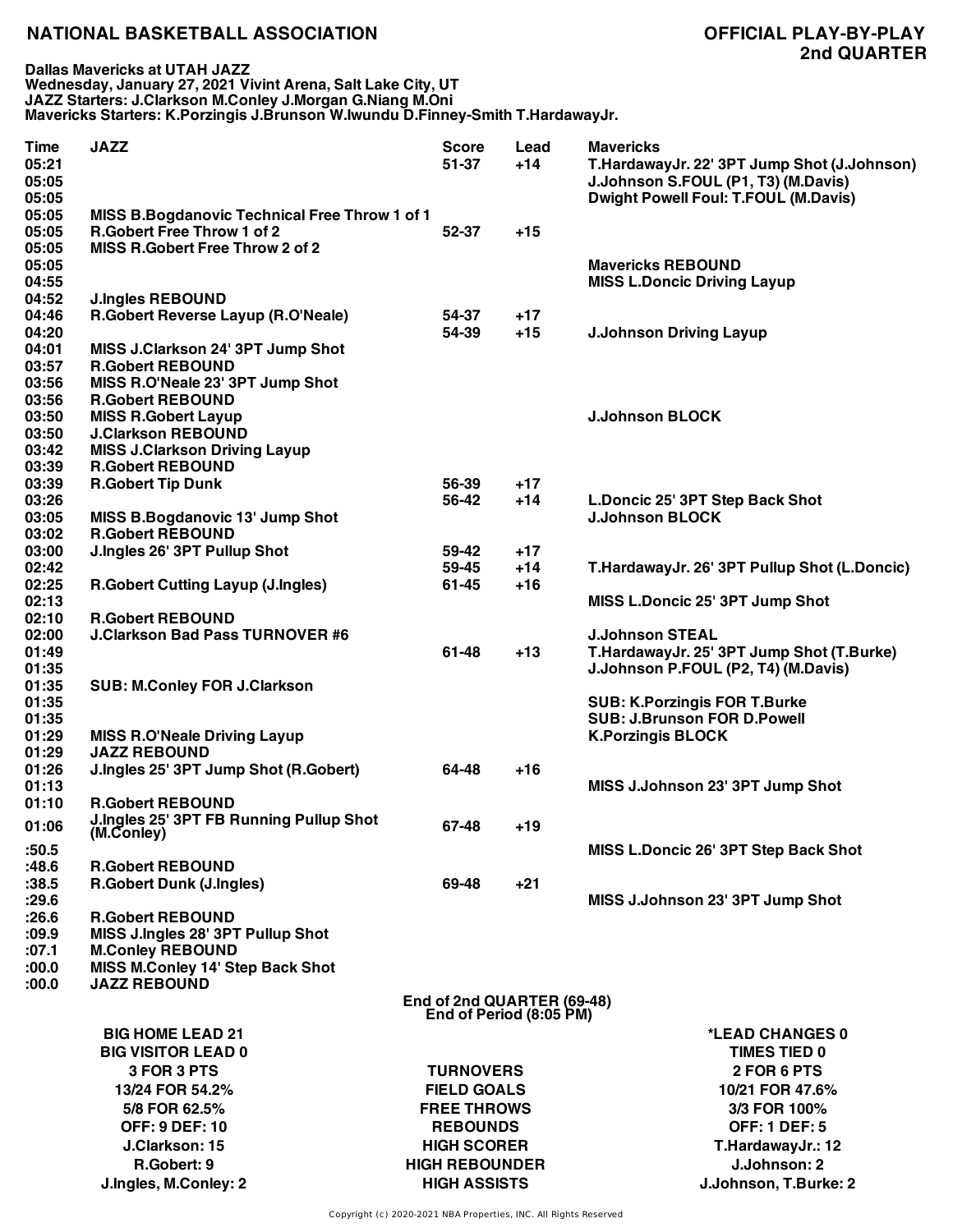**Dallas Mavericks at UTAH JAZZ Wednesday, January 27, 2021 Vivint Arena, Salt Lake City, UT JAZZ Starters: J.Clarkson M.Conley J.Morgan G.Niang M.Oni Mavericks Starters: K.Porzingis J.Brunson W.Iwundu D.Finney-Smith T.HardawayJr.**

| <b>Time</b><br>05:21<br>05:05<br>05:05 | <b>JAZZ</b>                                                        | <b>Score</b><br>$51 - 37$                             | Lead<br>$+14$  | <b>Mavericks</b><br>T.HardawayJr. 22' 3PT Jump Shot (J.Johnson)<br>J.Johnson S.FOUL (P1, T3) (M.Davis)<br><b>Dwight Powell Foul: T.FOUL (M.Davis)</b> |  |
|----------------------------------------|--------------------------------------------------------------------|-------------------------------------------------------|----------------|-------------------------------------------------------------------------------------------------------------------------------------------------------|--|
| 05:05                                  | MISS B.Bogdanovic Technical Free Throw 1 of 1                      |                                                       |                |                                                                                                                                                       |  |
| 05:05                                  | <b>R.Gobert Free Throw 1 of 2</b>                                  | 52-37                                                 | $+15$          |                                                                                                                                                       |  |
| 05:05<br>05:05                         | MISS R.Gobert Free Throw 2 of 2                                    |                                                       |                | <b>Mavericks REBOUND</b>                                                                                                                              |  |
| 04:55<br>04:52                         | <b>J.Ingles REBOUND</b>                                            |                                                       |                | <b>MISS L.Doncic Driving Layup</b>                                                                                                                    |  |
| 04:46                                  | R.Gobert Reverse Layup (R.O'Neale)                                 | 54-37                                                 | $+17$          |                                                                                                                                                       |  |
| 04:20                                  |                                                                    | 54-39                                                 | $+15$          | <b>J.Johnson Driving Layup</b>                                                                                                                        |  |
| 04:01                                  | MISS J.Clarkson 24' 3PT Jump Shot                                  |                                                       |                |                                                                                                                                                       |  |
| 03:57                                  | <b>R.Gobert REBOUND</b>                                            |                                                       |                |                                                                                                                                                       |  |
| 03:56<br>03:56                         | MISS R.O'Neale 23' 3PT Jump Shot<br><b>R.Gobert REBOUND</b>        |                                                       |                |                                                                                                                                                       |  |
| 03:50                                  | <b>MISS R.Gobert Layup</b>                                         |                                                       |                | <b>J.Johnson BLOCK</b>                                                                                                                                |  |
| 03:50                                  | <b>J.Clarkson REBOUND</b>                                          |                                                       |                |                                                                                                                                                       |  |
| 03:42                                  | <b>MISS J.Clarkson Driving Layup</b>                               |                                                       |                |                                                                                                                                                       |  |
| 03:39<br>03:39                         | <b>R.Gobert REBOUND</b><br><b>R.Gobert Tip Dunk</b>                | 56-39                                                 |                |                                                                                                                                                       |  |
| 03:26                                  |                                                                    | 56-42                                                 | $+17$<br>$+14$ | L.Doncic 25' 3PT Step Back Shot                                                                                                                       |  |
| 03:05                                  | <b>MISS B.Bogdanovic 13' Jump Shot</b>                             |                                                       |                | <b>J.Johnson BLOCK</b>                                                                                                                                |  |
| 03:02                                  | <b>R.Gobert REBOUND</b>                                            |                                                       |                |                                                                                                                                                       |  |
| 03:00                                  | J.Ingles 26' 3PT Pullup Shot                                       | 59-42                                                 | $+17$          |                                                                                                                                                       |  |
| 02:42                                  |                                                                    | 59-45                                                 | $+14$          | T.HardawayJr. 26' 3PT Pullup Shot (L.Doncic)                                                                                                          |  |
| 02:25                                  | <b>R.Gobert Cutting Layup (J.Ingles)</b>                           | 61-45                                                 | $+16$          |                                                                                                                                                       |  |
| 02:13                                  |                                                                    |                                                       |                | MISS L.Doncic 25' 3PT Jump Shot                                                                                                                       |  |
| 02:10<br>02:00                         | <b>R.Gobert REBOUND</b><br><b>J.Clarkson Bad Pass TURNOVER #6</b>  |                                                       |                | <b>J.Johnson STEAL</b>                                                                                                                                |  |
| 01:49<br>01:35                         |                                                                    | 61-48                                                 | $+13$          | T.HardawayJr. 25' 3PT Jump Shot (T.Burke)<br>J.Johnson P.FOUL (P2, T4) (M.Davis)                                                                      |  |
| 01:35<br>01:35                         | <b>SUB: M.Conley FOR J.Clarkson</b>                                |                                                       |                |                                                                                                                                                       |  |
| 01:35                                  |                                                                    |                                                       |                | <b>SUB: K.Porzingis FOR T.Burke</b><br><b>SUB: J.Brunson FOR D.Powell</b>                                                                             |  |
| 01:29<br>01:29                         | <b>MISS R.O'Neale Driving Layup</b><br><b>JAZZ REBOUND</b>         |                                                       |                | <b>K.Porzingis BLOCK</b>                                                                                                                              |  |
| 01:26                                  | J.Ingles 25' 3PT Jump Shot (R.Gobert)                              | 64-48                                                 | $+16$          |                                                                                                                                                       |  |
| 01:13                                  |                                                                    |                                                       |                | MISS J.Johnson 23' 3PT Jump Shot                                                                                                                      |  |
| 01:10                                  | <b>R.Gobert REBOUND</b><br>J.Ingles 25' 3PT FB Running Pullup Shot |                                                       |                |                                                                                                                                                       |  |
| 01:06                                  | (M.Coniey)                                                         | 67-48                                                 | +19            |                                                                                                                                                       |  |
| :50.5<br>:48.6                         | <b>R.Gobert REBOUND</b>                                            |                                                       |                | MISS L.Doncic 26' 3PT Step Back Shot                                                                                                                  |  |
| :38.5                                  | <b>R.Gobert Dunk (J.Ingles)</b>                                    | 69-48                                                 | $+21$          |                                                                                                                                                       |  |
| :29.6                                  |                                                                    |                                                       |                | MISS J.Johnson 23' 3PT Jump Shot                                                                                                                      |  |
| :26.6                                  | <b>R.Gobert REBOUND</b>                                            |                                                       |                |                                                                                                                                                       |  |
| :09.9                                  | MISS J.Ingles 28' 3PT Pullup Shot                                  |                                                       |                |                                                                                                                                                       |  |
| :07.1                                  | <b>M.Conley REBOUND</b>                                            |                                                       |                |                                                                                                                                                       |  |
| :00.0<br>:00.0                         | MISS M.Conley 14' Step Back Shot<br><b>JAZZ REBOUND</b>            |                                                       |                |                                                                                                                                                       |  |
|                                        |                                                                    | End of 2nd QUARTER (69-48)<br>End of Period (8:05 PM) |                |                                                                                                                                                       |  |
|                                        | <b>BIG HOME LEAD 21</b>                                            |                                                       |                | *LEAD CHANGES 0                                                                                                                                       |  |
|                                        | <b>BIG VISITOR LEAD 0</b>                                          |                                                       |                | <b>TIMES TIED 0</b>                                                                                                                                   |  |
|                                        | 3 FOR 3 PTS                                                        | <b>TURNOVERS</b>                                      |                | 2 FOR 6 PTS                                                                                                                                           |  |
|                                        | 13/24 FOR 54.2%                                                    | <b>FIELD GOALS</b>                                    |                | 10/21 FOR 47.6%                                                                                                                                       |  |
|                                        | 5/8 FOR 62.5%                                                      | <b>FREE THROWS</b>                                    |                | 3/3 FOR 100%                                                                                                                                          |  |
|                                        | <b>OFF: 9 DEF: 10</b>                                              | <b>REBOUNDS</b>                                       |                | <b>OFF: 1 DEF: 5</b>                                                                                                                                  |  |
|                                        | J.Clarkson: 15                                                     | <b>HIGH SCORER</b>                                    |                | T.HardawayJr.: 12                                                                                                                                     |  |
|                                        | R.Gobert: 9                                                        | <b>HIGH REBOUNDER</b>                                 |                | J.Johnson: 2                                                                                                                                          |  |
|                                        | J.Ingles, M.Conley: 2                                              | <b>HIGH ASSISTS</b>                                   |                | J.Johnson, T.Burke: 2                                                                                                                                 |  |
|                                        |                                                                    |                                                       |                |                                                                                                                                                       |  |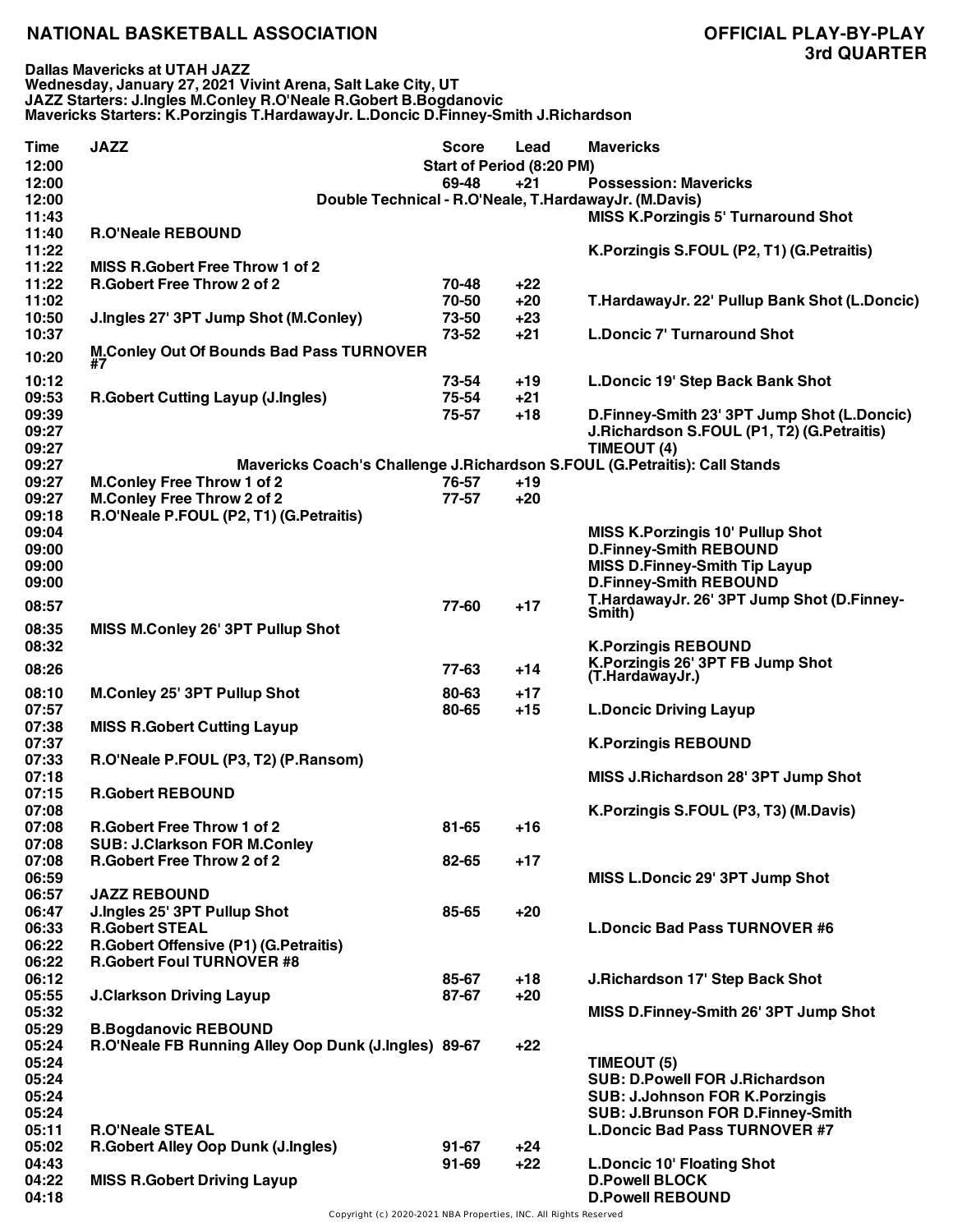**Dallas Mavericks at UTAH JAZZ Wednesday, January 27, 2021 Vivint Arena, Salt Lake City, UT JAZZ Starters: J.Ingles M.Conley R.O'Neale R.Gobert B.Bogdanovic Mavericks Starters: K.Porzingis T.HardawayJr. L.Doncic D.Finney-Smith J.Richardson**

| <b>Time</b><br>12:00 | <b>JAZZ</b>                                          | Score<br><b>Start of Period (8:20 PM)</b> | Lead  | <b>Mavericks</b>                                                           |
|----------------------|------------------------------------------------------|-------------------------------------------|-------|----------------------------------------------------------------------------|
| 12:00                |                                                      | 69-48                                     | $+21$ | <b>Possession: Mavericks</b>                                               |
| 12:00                |                                                      |                                           |       | Double Technical - R.O'Neale, T.HardawayJr. (M.Davis)                      |
| 11:43                |                                                      |                                           |       | <b>MISS K.Porzingis 5' Turnaround Shot</b>                                 |
| 11:40                | <b>R.O'Neale REBOUND</b>                             |                                           |       |                                                                            |
| 11:22                |                                                      |                                           |       | K. Porzingis S. FOUL (P2, T1) (G. Petraitis)                               |
| 11:22                | <b>MISS R.Gobert Free Throw 1 of 2</b>               |                                           |       |                                                                            |
| 11:22                | <b>R.Gobert Free Throw 2 of 2</b>                    | 70-48                                     | $+22$ |                                                                            |
| 11:02                |                                                      | 70-50                                     | $+20$ | T.HardawayJr. 22' Pullup Bank Shot (L.Doncic)                              |
| 10:50                | J.Ingles 27' 3PT Jump Shot (M.Conley)                | 73-50                                     | $+23$ |                                                                            |
| 10:37                |                                                      | 73-52                                     | $+21$ | <b>L.Doncic 7' Turnaround Shot</b>                                         |
| 10:20                | <b>M.Conley Out Of Bounds Bad Pass TURNOVER</b>      |                                           |       |                                                                            |
|                      | #7                                                   |                                           |       |                                                                            |
| 10:12                |                                                      | 73-54                                     | $+19$ | L.Doncic 19' Step Back Bank Shot                                           |
| 09:53                | <b>R.Gobert Cutting Layup (J.Ingles)</b>             | 75-54                                     | +21   |                                                                            |
| 09:39                |                                                      | 75-57                                     | $+18$ | D.Finney-Smith 23' 3PT Jump Shot (L.Doncic)                                |
| 09:27                |                                                      |                                           |       | J.Richardson S.FOUL (P1, T2) (G.Petraitis)                                 |
| 09:27                |                                                      |                                           |       | TIMEOUT (4)                                                                |
| 09:27                |                                                      |                                           |       | Mavericks Coach's Challenge J.Richardson S.FOUL (G.Petraitis): Call Stands |
| 09:27                | <b>M.Conley Free Throw 1 of 2</b>                    | 76-57                                     | $+19$ |                                                                            |
| 09:27                | <b>M.Conley Free Throw 2 of 2</b>                    | 77-57                                     | $+20$ |                                                                            |
| 09:18                | R.O'Neale P.FOUL (P2, T1) (G.Petraitis)              |                                           |       |                                                                            |
| 09:04                |                                                      |                                           |       | <b>MISS K. Porzingis 10' Pullup Shot</b>                                   |
| 09:00                |                                                      |                                           |       | <b>D.Finney-Smith REBOUND</b>                                              |
| 09:00                |                                                      |                                           |       | <b>MISS D.Finney-Smith Tip Layup</b>                                       |
| 09:00                |                                                      |                                           |       | <b>D.Finney-Smith REBOUND</b>                                              |
| 08:57                |                                                      | 77-60                                     | $+17$ | T.HardawayJr. 26' 3PT Jump Shot (D.Finney-                                 |
| 08:35                | MISS M.Conley 26' 3PT Pullup Shot                    |                                           |       | Smith)                                                                     |
| 08:32                |                                                      |                                           |       | <b>K.Porzingis REBOUND</b>                                                 |
|                      |                                                      |                                           |       | K.Porzingis 26' 3PT FB Jump Shot                                           |
| 08:26                |                                                      | 77-63                                     | $+14$ | (T.HardawayJr.)                                                            |
| 08:10                | <b>M.Conley 25' 3PT Pullup Shot</b>                  | 80-63                                     | $+17$ |                                                                            |
| 07:57                |                                                      | 80-65                                     | $+15$ | <b>L.Doncic Driving Layup</b>                                              |
| 07:38                | <b>MISS R.Gobert Cutting Layup</b>                   |                                           |       |                                                                            |
| 07:37                |                                                      |                                           |       | <b>K.Porzingis REBOUND</b>                                                 |
| 07:33                | R.O'Neale P.FOUL (P3, T2) (P.Ransom)                 |                                           |       |                                                                            |
| 07:18                |                                                      |                                           |       | MISS J.Richardson 28' 3PT Jump Shot                                        |
| 07:15                | <b>R.Gobert REBOUND</b>                              |                                           |       |                                                                            |
| 07:08                |                                                      |                                           |       | K. Porzingis S. FOUL (P3, T3) (M. Davis)                                   |
| 07:08                | R.Gobert Free Throw 1 of 2                           | 81-65                                     | +16   |                                                                            |
| 07:08                | <b>SUB: J.Clarkson FOR M.Conley</b>                  |                                           |       |                                                                            |
| 07:08                | <b>R.Gobert Free Throw 2 of 2</b>                    | 82-65                                     | $+17$ |                                                                            |
| 06:59                |                                                      |                                           |       | MISS L.Doncic 29' 3PT Jump Shot                                            |
| 06:57                | <b>JAZZ REBOUND</b>                                  |                                           |       |                                                                            |
| 06:47                | J.Ingles 25' 3PT Pullup Shot                         | 85-65                                     | $+20$ |                                                                            |
| 06:33                | <b>R.Gobert STEAL</b>                                |                                           |       | <b>L.Doncic Bad Pass TURNOVER #6</b>                                       |
| 06:22                | R.Gobert Offensive (P1) (G.Petraitis)                |                                           |       |                                                                            |
| 06:22                | <b>R.Gobert Foul TURNOVER #8</b>                     |                                           |       |                                                                            |
| 06:12                |                                                      | 85-67                                     | $+18$ | J.Richardson 17' Step Back Shot                                            |
| 05:55                | <b>J.Clarkson Driving Layup</b>                      | 87-67                                     | $+20$ |                                                                            |
| 05:32                |                                                      |                                           |       | MISS D.Finney-Smith 26' 3PT Jump Shot                                      |
| 05:29                | <b>B.Bogdanovic REBOUND</b>                          |                                           |       |                                                                            |
| 05:24                | R.O'Neale FB Running Alley Oop Dunk (J.Ingles) 89-67 |                                           | $+22$ |                                                                            |
| 05:24                |                                                      |                                           |       | TIMEOUT (5)                                                                |
| 05:24                |                                                      |                                           |       | <b>SUB: D.Powell FOR J.Richardson</b>                                      |
| 05:24                |                                                      |                                           |       | <b>SUB: J.Johnson FOR K.Porzingis</b>                                      |
| 05:24                |                                                      |                                           |       | SUB: J.Brunson FOR D.Finney-Smith                                          |
| 05:11                | <b>R.O'Neale STEAL</b>                               |                                           |       | <b>L.Doncic Bad Pass TURNOVER #7</b>                                       |
| 05:02                | R.Gobert Alley Oop Dunk (J.Ingles)                   | $91 - 67$                                 | +24   |                                                                            |
| 04:43                |                                                      | $91 - 69$                                 | $+22$ | <b>L.Doncic 10' Floating Shot</b>                                          |
| 04:22                | <b>MISS R.Gobert Driving Layup</b>                   |                                           |       | <b>D.Powell BLOCK</b>                                                      |
| 04:18                |                                                      |                                           |       | <b>D.Powell REBOUND</b>                                                    |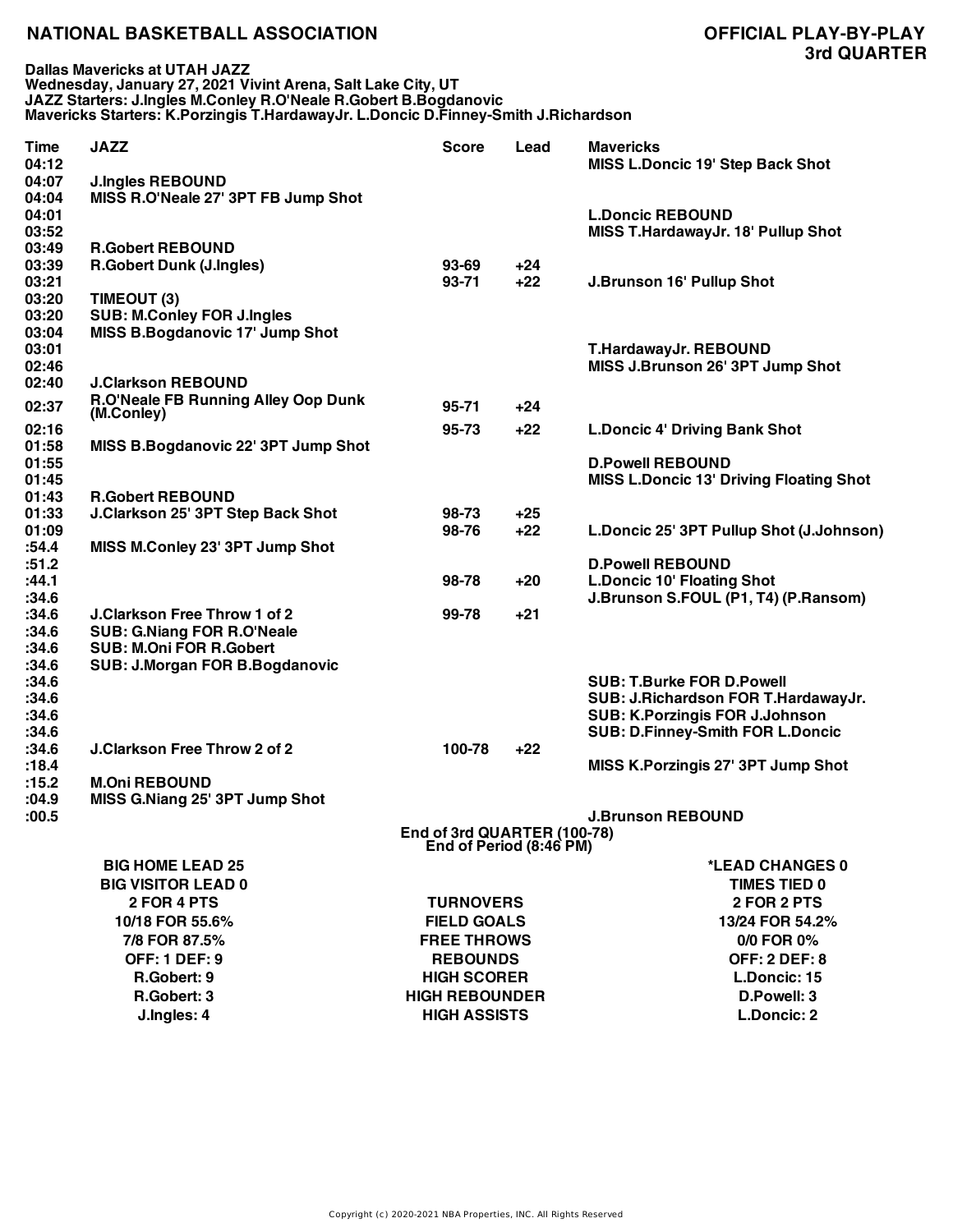**Dallas Mavericks at UTAH JAZZ Wednesday, January 27, 2021 Vivint Arena, Salt Lake City, UT JAZZ Starters: J.Ingles M.Conley R.O'Neale R.Gobert B.Bogdanovic Mavericks Starters: K.Porzingis T.HardawayJr. L.Doncic D.Finney-Smith J.Richardson**

| Time<br>04:12           | <b>JAZZ</b>                                                             | <b>Score</b>                                           | Lead  | <b>Mavericks</b><br>MISS L.Doncic 19' Step Back Shot                 |
|-------------------------|-------------------------------------------------------------------------|--------------------------------------------------------|-------|----------------------------------------------------------------------|
| 04:07                   | <b>J.Ingles REBOUND</b>                                                 |                                                        |       |                                                                      |
| 04:04<br>04:01<br>03:52 | MISS R.O'Neale 27' 3PT FB Jump Shot                                     |                                                        |       | <b>L.Doncic REBOUND</b><br><b>MISS T.HardawayJr. 18' Pullup Shot</b> |
| 03:49                   | <b>R.Gobert REBOUND</b>                                                 |                                                        |       |                                                                      |
| 03:39                   | <b>R.Gobert Dunk (J.Ingles)</b>                                         | $93 - 69$                                              | $+24$ |                                                                      |
| 03:21                   |                                                                         | $93 - 71$                                              | $+22$ | <b>J.Brunson 16' Pullup Shot</b>                                     |
| 03:20                   | TIMEOUT (3)                                                             |                                                        |       |                                                                      |
| 03:20<br>03:04          | <b>SUB: M.Conley FOR J.Ingles</b><br>MISS B.Bogdanovic 17' Jump Shot    |                                                        |       |                                                                      |
| 03:01                   |                                                                         |                                                        |       | T.HardawayJr. REBOUND                                                |
| 02:46                   |                                                                         |                                                        |       | MISS J.Brunson 26' 3PT Jump Shot                                     |
| 02:40                   | <b>J.Clarkson REBOUND</b>                                               |                                                        |       |                                                                      |
| 02:37                   | R.O'Neale FB Running Alley Oop Dunk                                     | $95 - 71$                                              | $+24$ |                                                                      |
| 02:16                   | (M.Conley)                                                              | 95-73                                                  | $+22$ | <b>L.Doncic 4' Driving Bank Shot</b>                                 |
| 01:58                   | MISS B.Bogdanovic 22' 3PT Jump Shot                                     |                                                        |       |                                                                      |
| 01:55                   |                                                                         |                                                        |       | <b>D.Powell REBOUND</b>                                              |
| 01:45                   |                                                                         |                                                        |       | <b>MISS L.Doncic 13' Driving Floating Shot</b>                       |
| 01:43                   | <b>R.Gobert REBOUND</b>                                                 |                                                        |       |                                                                      |
| 01:33                   | J.Clarkson 25' 3PT Step Back Shot                                       | 98-73                                                  | +25   |                                                                      |
| 01:09<br>:54.4          | MISS M.Conley 23' 3PT Jump Shot                                         | 98-76                                                  | $+22$ | L.Doncic 25' 3PT Pullup Shot (J.Johnson)                             |
| :51.2                   |                                                                         |                                                        |       | <b>D.Powell REBOUND</b>                                              |
| :44.1                   |                                                                         | 98-78                                                  | $+20$ | <b>L.Doncic 10' Floating Shot</b>                                    |
| :34.6                   |                                                                         |                                                        |       | J.Brunson S.FOUL (P1, T4) (P.Ransom)                                 |
| :34.6                   | <b>J.Clarkson Free Throw 1 of 2</b>                                     | 99-78                                                  | $+21$ |                                                                      |
| :34.6                   | <b>SUB: G.Niang FOR R.O'Neale</b>                                       |                                                        |       |                                                                      |
| :34.6<br>:34.6          | <b>SUB: M.Oni FOR R.Gobert</b><br><b>SUB: J.Morgan FOR B.Bogdanovic</b> |                                                        |       |                                                                      |
| :34.6                   |                                                                         |                                                        |       | <b>SUB: T.Burke FOR D.Powell</b>                                     |
| :34.6                   |                                                                         |                                                        |       | SUB: J.Richardson FOR T.HardawayJr.                                  |
| :34.6                   |                                                                         |                                                        |       | <b>SUB: K.Porzingis FOR J.Johnson</b>                                |
| :34.6                   |                                                                         |                                                        |       | <b>SUB: D.Finney-Smith FOR L.Doncic</b>                              |
| :34.6                   | <b>J.Clarkson Free Throw 2 of 2</b>                                     | 100-78                                                 | $+22$ |                                                                      |
| :18.4<br>:15.2          | <b>M.Oni REBOUND</b>                                                    |                                                        |       | MISS K.Porzingis 27' 3PT Jump Shot                                   |
| :04.9                   | MISS G.Niang 25' 3PT Jump Shot                                          |                                                        |       |                                                                      |
| :00.5                   |                                                                         |                                                        |       | <b>J.Brunson REBOUND</b>                                             |
|                         |                                                                         | End of 3rd QUARTER (100-78)<br>End of Period (8:46 PM) |       |                                                                      |
|                         | <b>BIG HOME LEAD 25</b>                                                 |                                                        |       | *LEAD CHANGES 0                                                      |
|                         | <b>BIG VISITOR LEAD 0</b>                                               |                                                        |       | <b>TIMES TIED 0</b>                                                  |
|                         | 2 FOR 4 PTS                                                             | <b>TURNOVERS</b>                                       |       | 2 FOR 2 PTS                                                          |
|                         | 10/18 FOR 55.6%                                                         | <b>FIELD GOALS</b>                                     |       | 13/24 FOR 54.2%                                                      |
|                         | 7/8 FOR 87.5%                                                           | <b>FREE THROWS</b>                                     |       | 0/0 FOR 0%                                                           |
|                         | <b>OFF: 1 DEF: 9</b>                                                    | <b>REBOUNDS</b>                                        |       | <b>OFF: 2 DEF: 8</b>                                                 |
|                         | R.Gobert: 9                                                             | <b>HIGH SCORER</b>                                     |       | L.Doncic: 15                                                         |
|                         | R.Gobert: 3                                                             | <b>HIGH REBOUNDER</b>                                  |       | D.Powell: 3                                                          |
|                         | J.Ingles: 4                                                             | <b>HIGH ASSISTS</b>                                    |       | L.Doncic: 2                                                          |
|                         |                                                                         |                                                        |       |                                                                      |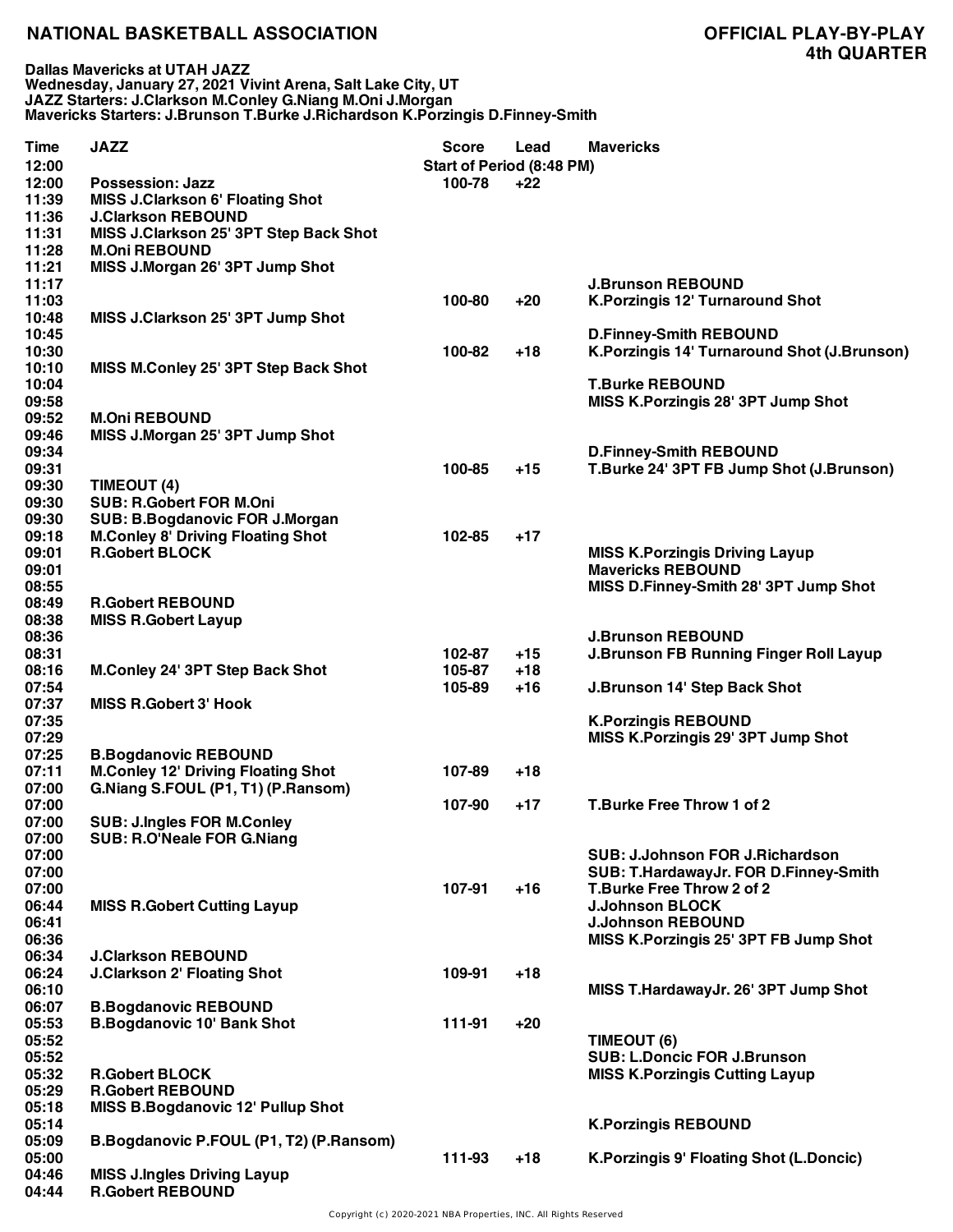**Dallas Mavericks at UTAH JAZZ Wednesday, January 27, 2021 Vivint Arena, Salt Lake City, UT JAZZ Starters: J.Clarkson M.Conley G.Niang M.Oni J.Morgan Mavericks Starters: J.Brunson T.Burke J.Richardson K.Porzingis D.Finney-Smith**

| <b>Time</b> | <b>JAZZ</b>                               | <b>Score</b>                     | Lead  | <b>Mavericks</b>                              |
|-------------|-------------------------------------------|----------------------------------|-------|-----------------------------------------------|
| 12:00       |                                           | <b>Start of Period (8:48 PM)</b> |       |                                               |
| 12:00       | <b>Possession: Jazz</b>                   | 100-78                           | $+22$ |                                               |
| 11:39       | <b>MISS J.Clarkson 6' Floating Shot</b>   |                                  |       |                                               |
| 11:36       | <b>J.Clarkson REBOUND</b>                 |                                  |       |                                               |
| 11:31       | MISS J.Clarkson 25' 3PT Step Back Shot    |                                  |       |                                               |
| 11:28       | <b>M.Oni REBOUND</b>                      |                                  |       |                                               |
| 11:21       | MISS J.Morgan 26' 3PT Jump Shot           |                                  |       |                                               |
| 11:17       |                                           |                                  |       | <b>J.Brunson REBOUND</b>                      |
| 11:03       |                                           | 100-80                           | $+20$ | <b>K.Porzingis 12' Turnaround Shot</b>        |
| 10:48       | MISS J.Clarkson 25' 3PT Jump Shot         |                                  |       |                                               |
| 10:45       |                                           |                                  |       | <b>D.Finney-Smith REBOUND</b>                 |
| 10:30       |                                           | 100-82                           | $+18$ | K.Porzingis 14' Turnaround Shot (J.Brunson)   |
| 10:10       | MISS M.Conley 25' 3PT Step Back Shot      |                                  |       |                                               |
| 10:04       |                                           |                                  |       | <b>T.Burke REBOUND</b>                        |
| 09:58       |                                           |                                  |       | MISS K.Porzingis 28' 3PT Jump Shot            |
| 09:52       | <b>M.Oni REBOUND</b>                      |                                  |       |                                               |
| 09:46       | MISS J.Morgan 25' 3PT Jump Shot           |                                  |       |                                               |
| 09:34       |                                           |                                  |       | <b>D.Finney-Smith REBOUND</b>                 |
| 09:31       |                                           | 100-85                           | $+15$ | T.Burke 24' 3PT FB Jump Shot (J.Brunson)      |
| 09:30       | TIMEOUT (4)                               |                                  |       |                                               |
|             | <b>SUB: R.Gobert FOR M.Oni</b>            |                                  |       |                                               |
| 09:30       |                                           |                                  |       |                                               |
| 09:30       | <b>SUB: B.Bogdanovic FOR J.Morgan</b>     |                                  |       |                                               |
| 09:18       | <b>M.Conley 8' Driving Floating Shot</b>  | 102-85                           | $+17$ |                                               |
| 09:01       | <b>R.Gobert BLOCK</b>                     |                                  |       | <b>MISS K.Porzingis Driving Layup</b>         |
| 09:01       |                                           |                                  |       | <b>Mavericks REBOUND</b>                      |
| 08:55       |                                           |                                  |       | MISS D.Finney-Smith 28' 3PT Jump Shot         |
| 08:49       | <b>R.Gobert REBOUND</b>                   |                                  |       |                                               |
| 08:38       | <b>MISS R.Gobert Layup</b>                |                                  |       |                                               |
| 08:36       |                                           |                                  |       | <b>J.Brunson REBOUND</b>                      |
| 08:31       |                                           | 102-87                           | $+15$ | <b>J.Brunson FB Running Finger Roll Layup</b> |
| 08:16       | <b>M.Conley 24' 3PT Step Back Shot</b>    | 105-87                           | $+18$ |                                               |
| 07:54       |                                           | 105-89                           | $+16$ | J.Brunson 14' Step Back Shot                  |
| 07:37       | <b>MISS R.Gobert 3' Hook</b>              |                                  |       |                                               |
| 07:35       |                                           |                                  |       | <b>K.Porzingis REBOUND</b>                    |
| 07:29       |                                           |                                  |       | MISS K.Porzingis 29' 3PT Jump Shot            |
| 07:25       | <b>B.Bogdanovic REBOUND</b>               |                                  |       |                                               |
| 07:11       | <b>M.Conley 12' Driving Floating Shot</b> | 107-89                           | $+18$ |                                               |
| 07:00       | G.Niang S.FOUL (P1, T1) (P.Ransom)        |                                  |       |                                               |
| 07:00       |                                           | 107-90                           | $+17$ | T.Burke Free Throw 1 of 2                     |
| 07:00       | <b>SUB: J.Ingles FOR M.Conley</b>         |                                  |       |                                               |
| 07:00       | SUB: R.O'Neale FOR G.Niang                |                                  |       |                                               |
| 07:00       |                                           |                                  |       | <b>SUB: J.Johnson FOR J.Richardson</b>        |
| 07:00       |                                           |                                  |       | SUB: T.HardawayJr. FOR D.Finney-Smith         |
| 07:00       |                                           | 107-91                           | $+16$ | T.Burke Free Throw 2 of 2                     |
| 06:44       | <b>MISS R.Gobert Cutting Layup</b>        |                                  |       | <b>J.Johnson BLOCK</b>                        |
| 06:41       |                                           |                                  |       | <b>J.Johnson REBOUND</b>                      |
| 06:36       |                                           |                                  |       | MISS K.Porzingis 25' 3PT FB Jump Shot         |
| 06:34       | <b>J.Clarkson REBOUND</b>                 |                                  |       |                                               |
| 06:24       | <b>J.Clarkson 2' Floating Shot</b>        | 109-91                           | $+18$ |                                               |
| 06:10       |                                           |                                  |       | MISS T.HardawayJr. 26' 3PT Jump Shot          |
| 06:07       | <b>B.Bogdanovic REBOUND</b>               |                                  |       |                                               |
| 05:53       | <b>B.Bogdanovic 10' Bank Shot</b>         | 111-91                           | $+20$ |                                               |
| 05:52       |                                           |                                  |       | TIMEOUT (6)                                   |
| 05:52       |                                           |                                  |       | <b>SUB: L.Doncic FOR J.Brunson</b>            |
| 05:32       | <b>R.Gobert BLOCK</b>                     |                                  |       | <b>MISS K.Porzingis Cutting Layup</b>         |
| 05:29       | <b>R.Gobert REBOUND</b>                   |                                  |       |                                               |
| 05:18       | <b>MISS B.Bogdanovic 12' Pullup Shot</b>  |                                  |       |                                               |
| 05:14       |                                           |                                  |       | <b>K.Porzingis REBOUND</b>                    |
| 05:09       | B.Bogdanovic P.FOUL (P1, T2) (P.Ransom)   |                                  |       |                                               |
| 05:00       |                                           | 111-93                           | $+18$ | K. Porzingis 9' Floating Shot (L. Doncic)     |
| 04:46       | <b>MISS J.Ingles Driving Layup</b>        |                                  |       |                                               |
| 04:44       | <b>R.Gobert REBOUND</b>                   |                                  |       |                                               |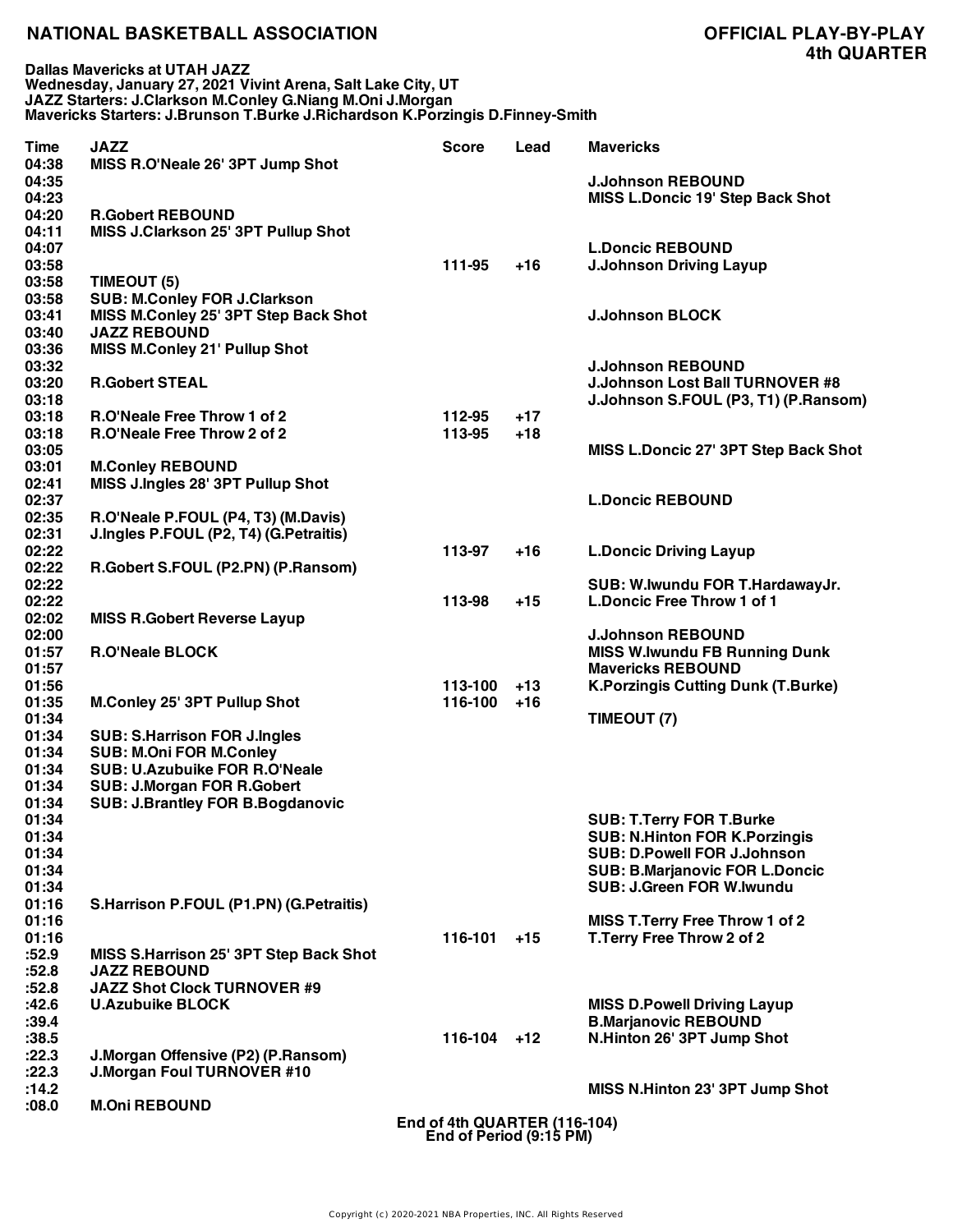**Dallas Mavericks at UTAH JAZZ Wednesday, January 27, 2021 Vivint Arena, Salt Lake City, UT JAZZ Starters: J.Clarkson M.Conley G.Niang M.Oni J.Morgan Mavericks Starters: J.Brunson T.Burke J.Richardson K.Porzingis D.Finney-Smith**

| <b>Time</b><br>04:38 | <b>JAZZ</b><br>MISS R.O'Neale 26' 3PT Jump Shot                | Score                                                   | Lead  | <b>Mavericks</b>                          |
|----------------------|----------------------------------------------------------------|---------------------------------------------------------|-------|-------------------------------------------|
| 04:35                |                                                                |                                                         |       | <b>J.Johnson REBOUND</b>                  |
| 04:23                |                                                                |                                                         |       | <b>MISS L.Doncic 19' Step Back Shot</b>   |
| 04:20<br>04:11       | <b>R.Gobert REBOUND</b><br>MISS J.Clarkson 25' 3PT Pullup Shot |                                                         |       |                                           |
| 04:07                |                                                                |                                                         |       | <b>L.Doncic REBOUND</b>                   |
| 03:58                |                                                                | 111-95                                                  | $+16$ | <b>J.Johnson Driving Layup</b>            |
| 03:58                | TIMEOUT (5)                                                    |                                                         |       |                                           |
| 03:58                | <b>SUB: M.Conley FOR J.Clarkson</b>                            |                                                         |       |                                           |
| 03:41                | MISS M.Conley 25' 3PT Step Back Shot                           |                                                         |       | <b>J.Johnson BLOCK</b>                    |
| 03:40                | <b>JAZZ REBOUND</b>                                            |                                                         |       |                                           |
| 03:36                | <b>MISS M.Conley 21' Pullup Shot</b>                           |                                                         |       |                                           |
| 03:32                |                                                                |                                                         |       | <b>J.Johnson REBOUND</b>                  |
| 03:20                | <b>R.Gobert STEAL</b>                                          |                                                         |       | <b>J.Johnson Lost Ball TURNOVER #8</b>    |
| 03:18                |                                                                |                                                         |       | J.Johnson S.FOUL (P3, T1) (P.Ransom)      |
| 03:18                | R.O'Neale Free Throw 1 of 2                                    | 112-95                                                  | $+17$ |                                           |
| 03:18                | R.O'Neale Free Throw 2 of 2                                    | 113-95                                                  | $+18$ |                                           |
| 03:05<br>03:01       | <b>M.Conley REBOUND</b>                                        |                                                         |       | MISS L.Doncic 27' 3PT Step Back Shot      |
| 02:41                | MISS J.Ingles 28' 3PT Pullup Shot                              |                                                         |       |                                           |
| 02:37                |                                                                |                                                         |       | <b>L.Doncic REBOUND</b>                   |
| 02:35                | R.O'Neale P.FOUL (P4, T3) (M.Davis)                            |                                                         |       |                                           |
| 02:31                | J.Ingles P.FOUL (P2, T4) (G.Petraitis)                         |                                                         |       |                                           |
| 02:22                |                                                                | 113-97                                                  | $+16$ | <b>L.Doncic Driving Layup</b>             |
| 02:22                | R.Gobert S.FOUL (P2.PN) (P.Ransom)                             |                                                         |       |                                           |
| 02:22                |                                                                |                                                         |       | SUB: W.Iwundu FOR T.HardawayJr.           |
| 02:22                |                                                                | 113-98                                                  | $+15$ | <b>L.Doncic Free Throw 1 of 1</b>         |
| 02:02                | <b>MISS R.Gobert Reverse Layup</b>                             |                                                         |       |                                           |
| 02:00                |                                                                |                                                         |       | <b>J.Johnson REBOUND</b>                  |
| 01:57                | <b>R.O'Neale BLOCK</b>                                         |                                                         |       | <b>MISS W.Iwundu FB Running Dunk</b>      |
| 01:57                |                                                                |                                                         |       | <b>Mavericks REBOUND</b>                  |
| 01:56                |                                                                | 113-100                                                 | $+13$ | <b>K.Porzingis Cutting Dunk (T.Burke)</b> |
| 01:35                | <b>M.Conley 25' 3PT Pullup Shot</b>                            | 116-100                                                 | $+16$ |                                           |
| 01:34<br>01:34       | <b>SUB: S.Harrison FOR J.Ingles</b>                            |                                                         |       | TIMEOUT (7)                               |
| 01:34                | <b>SUB: M.Oni FOR M.Conley</b>                                 |                                                         |       |                                           |
| 01:34                | <b>SUB: U.Azubuike FOR R.O'Neale</b>                           |                                                         |       |                                           |
| 01:34                | <b>SUB: J.Morgan FOR R.Gobert</b>                              |                                                         |       |                                           |
| 01:34                | <b>SUB: J.Brantley FOR B.Bogdanovic</b>                        |                                                         |       |                                           |
| 01:34                |                                                                |                                                         |       | <b>SUB: T.Terry FOR T.Burke</b>           |
| 01:34                |                                                                |                                                         |       | SUB: N.Hinton FOR K.Porzingis             |
| 01:34                |                                                                |                                                         |       | <b>SUB: D.Powell FOR J.Johnson</b>        |
| 01:34                |                                                                |                                                         |       | <b>SUB: B.Marjanovic FOR L.Doncic</b>     |
| 01:34                |                                                                |                                                         |       | <b>SUB: J.Green FOR W.Iwundu</b>          |
| 01:16                | <b>S.Harrison P.FOUL (P1.PN) (G.Petraitis)</b>                 |                                                         |       |                                           |
| 01:16                |                                                                |                                                         |       | <b>MISS T.Terry Free Throw 1 of 2</b>     |
| 01:16                |                                                                | 116-101                                                 | $+15$ | T. Terry Free Throw 2 of 2                |
| :52.9                | MISS S.Harrison 25' 3PT Step Back Shot                         |                                                         |       |                                           |
| :52.8<br>:52.8       | <b>JAZZ REBOUND</b><br><b>JAZZ Shot Clock TURNOVER #9</b>      |                                                         |       |                                           |
| :42.6                | <b>U.Azubuike BLOCK</b>                                        |                                                         |       | <b>MISS D.Powell Driving Layup</b>        |
| :39.4                |                                                                |                                                         |       | <b>B.Marjanovic REBOUND</b>               |
| :38.5                |                                                                | $116-104$ +12                                           |       | N.Hinton 26' 3PT Jump Shot                |
| :22.3                | J.Morgan Offensive (P2) (P.Ransom)                             |                                                         |       |                                           |
| :22.3                | <b>J.Morgan Foul TURNOVER #10</b>                              |                                                         |       |                                           |
| :14.2                |                                                                |                                                         |       | MISS N.Hinton 23' 3PT Jump Shot           |
| :08.0                | <b>M.Oni REBOUND</b>                                           |                                                         |       |                                           |
|                      |                                                                | End of 4th QUARTER (116-104)<br>End of Period (9:15 PM) |       |                                           |